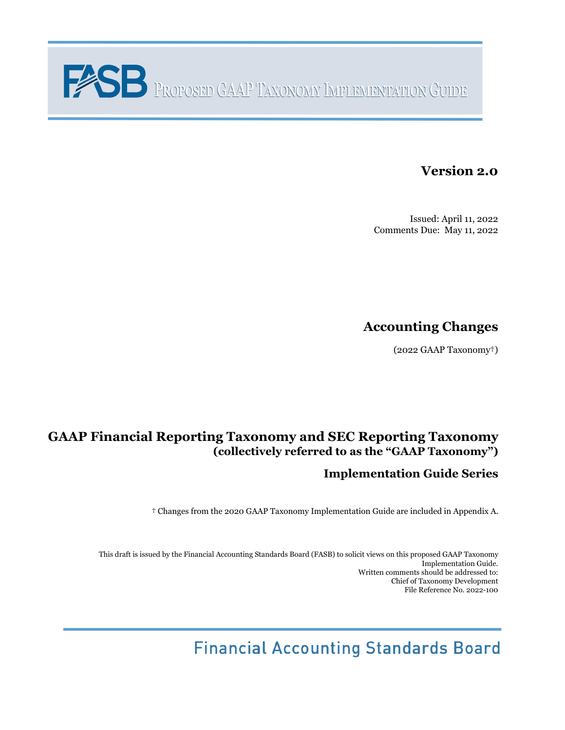

# **Version 2.0**

Issued: April 11, 2022 Comments Due: May 11, 2022

# **Accounting Changes**

(2022 GAAP Taxonomy†)

# **GAAP Financial Reporting Taxonomy and SEC Reporting Taxonomy (collectively referred to as the "GAAP Taxonomy")**

# **Implementation Guide Series**

† Changes from the 2020 GAAP Taxonomy Implementation Guide are included in Appendix A.

This draft is issued by the Financial Accounting Standards Board (FASB) to solicit views on this proposed GAAP Taxonomy Implementation Guide. Written comments should be addressed to: Chief of Taxonomy Development File Reference No. 2022-100

**Financial Accounting Standards Board**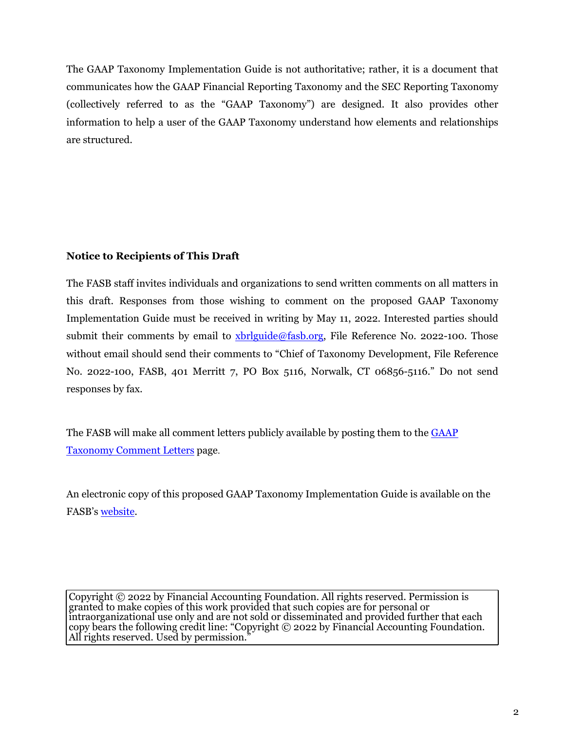The GAAP Taxonomy Implementation Guide is not authoritative; rather, it is a document that communicates how the GAAP Financial Reporting Taxonomy and the SEC Reporting Taxonomy (collectively referred to as the "GAAP Taxonomy") are designed. It also provides other information to help a user of the GAAP Taxonomy understand how elements and relationships are structured.

#### **Notice to Recipients of This Draft**

The FASB staff invites individuals and organizations to send written comments on all matters in this draft. Responses from those wishing to comment on the proposed GAAP Taxonomy Implementation Guide must be received in writing by May 11, 2022. Interested parties should submit their comments by email to [xbrlguide@fasb.org,](mailto:xbrlguide@fasb.org) File Reference No. 2022-100. Those without email should send their comments to "Chief of Taxonomy Development, File Reference No. 2022-100, FASB, 401 Merritt 7, PO Box 5116, Norwalk, CT 06856-5116." Do not send responses by fax.

The FASB will make all comment letters publicly available by posting them to the [GAAP](https://fasb.org/page/PageContent?pageId=/xbrl/commentletters.html) [Taxonomy Comment Letters](https://fasb.org/page/PageContent?pageId=/xbrl/commentletters.html) page.

An electronic copy of this proposed GAAP Taxonomy Implementation Guide is available on the FASB's [website.](https://fasb.org/)

Copyright © 2022 by Financial Accounting Foundation. All rights reserved. Permission is granted to make copies of this work provided that such copies are for personal or intraorganizational use only and are not sold or disseminated and provided further that each copy bears the following credit line: "Copyright © 2022 by Financial Accounting Foundation. All rights reserved. Used by permission."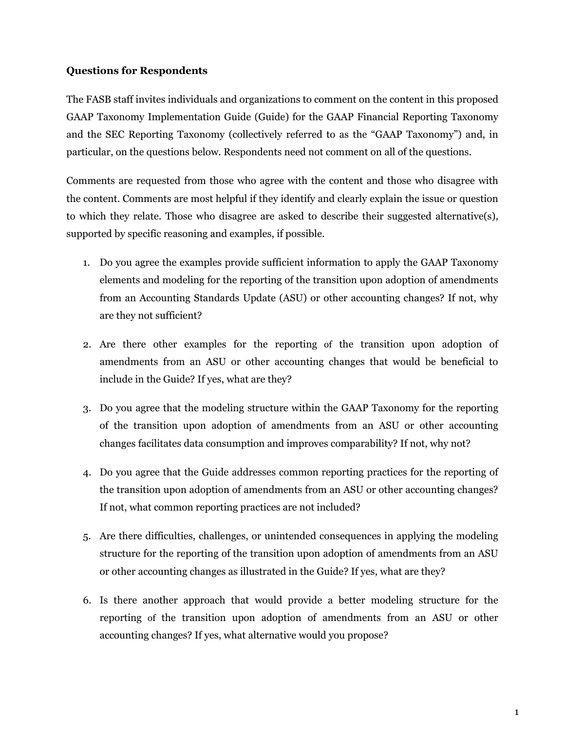#### **Questions for Respondents**

The FASB staff invites individuals and organizations to comment on the content in this proposed GAAP Taxonomy Implementation Guide (Guide) for the GAAP Financial Reporting Taxonomy and the SEC Reporting Taxonomy (collectively referred to as the "GAAP Taxonomy") and, in particular, on the questions below. Respondents need not comment on all of the questions.

Comments are requested from those who agree with the content and those who disagree with the content. Comments are most helpful if they identify and clearly explain the issue or question to which they relate. Those who disagree are asked to describe their suggested alternative(s), supported by specific reasoning and examples, if possible.

- 1. Do you agree the examples provide sufficient information to apply the GAAP Taxonomy elements and modeling for the reporting of the transition upon adoption of amendments from an Accounting Standards Update (ASU) or other accounting changes? If not, why are they not sufficient?
- 2. Are there other examples for the reporting of the transition upon adoption of amendments from an ASU or other accounting changes that would be beneficial to include in the Guide? If yes, what are they?
- 3. Do you agree that the modeling structure within the GAAP Taxonomy for the reporting of the transition upon adoption of amendments from an ASU or other accounting changes facilitates data consumption and improves comparability? If not, why not?
- 4. Do you agree that the Guide addresses common reporting practices for the reporting of the transition upon adoption of amendments from an ASU or other accounting changes? If not, what common reporting practices are not included?
- 5. Are there difficulties, challenges, or unintended consequences in applying the modeling structure for the reporting of the transition upon adoption of amendments from an ASU or other accounting changes as illustrated in the Guide? If yes, what are they?
- 6. Is there another approach that would provide a better modeling structure for the reporting of the transition upon adoption of amendments from an ASU or other accounting changes? If yes, what alternative would you propose?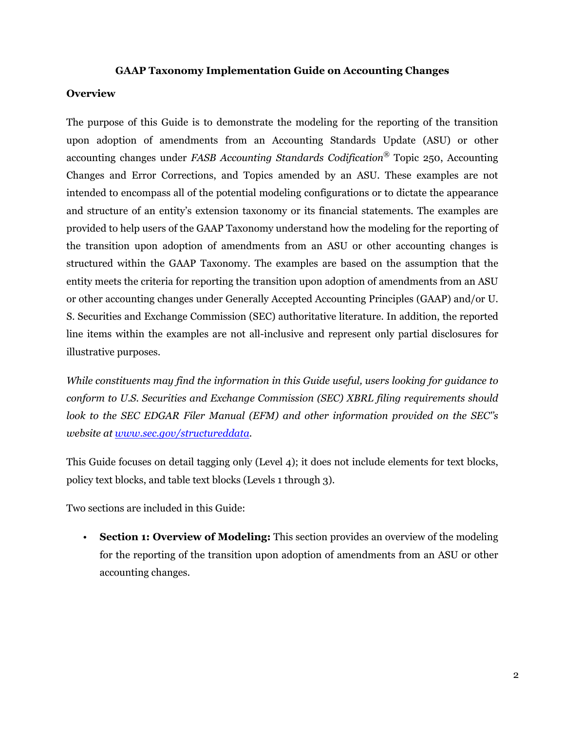#### **GAAP Taxonomy Implementation Guide on Accounting Changes**

#### **Overview**

The purpose of this Guide is to demonstrate the modeling for the reporting of the transition upon adoption of amendments from an Accounting Standards Update (ASU) or other accounting changes under *FASB Accounting Standards Codification®* Topic 250, Accounting Changes and Error Corrections, and Topics amended by an ASU. These examples are not intended to encompass all of the potential modeling configurations or to dictate the appearance and structure of an entity's extension taxonomy or its financial statements. The examples are provided to help users of the GAAP Taxonomy understand how the modeling for the reporting of the transition upon adoption of amendments from an ASU or other accounting changes is structured within the GAAP Taxonomy. The examples are based on the assumption that the entity meets the criteria for reporting the transition upon adoption of amendments from an ASU or other accounting changes under Generally Accepted Accounting Principles (GAAP) and/or U. S. Securities and Exchange Commission (SEC) authoritative literature. In addition, the reported line items within the examples are not all-inclusive and represent only partial disclosures for illustrative purposes.

*While constituents may find the information in this Guide useful, users looking for guidance to conform to U.S. Securities and Exchange Commission (SEC) XBRL filing requirements should look to the SEC EDGAR Filer Manual (EFM) and other information provided on the SEC''s website at <www.sec.gov/structureddata>.*

This Guide focuses on detail tagging only (Level 4); it does not include elements for text blocks, policy text blocks, and table text blocks (Levels 1 through 3).

Two sections are included in this Guide:

• **Section 1: Overview of Modeling:** This section provides an overview of the modeling for the reporting of the transition upon adoption of amendments from an ASU or other accounting changes.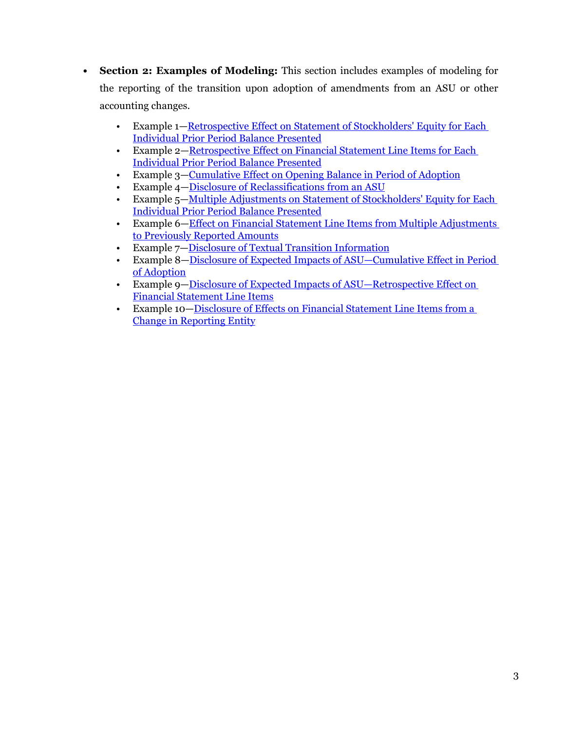- **• Section 2: Examples of Modeling:** This section includes examples of modeling for the reporting of the transition upon adoption of amendments from an ASU or other accounting changes.
	- Example 1—Retrospective Effect on Statement of Stockholders' Equity for Each [Individual Prior Period Balance Presented](#page-12-0)
	- Example 2—[Retrospective Effect on Financial Statement Line Items for Each](#page-16-0)  [Individual Prior Period Balance Presented](#page-16-0)
	- Example 3—[Cumulative Effect on Opening Balance in Period of Adoption](#page-20-0)
	- Example 4—[Disclosure of Reclassifications from an ASU](#page-24-0)
	- Example 5—[Multiple Adjustments on Statement of Stockholders' Equity for Each](#page-28-0)  [Individual Prior Period Balance Presented](#page-28-0)
	- Example 6[—Effect on Financial Statement Line Items from Multiple Adjustments](#page-33-0)  [to Previously Reported Amounts](#page-33-0)
	- Example 7[—Disclosure of Textual Transition Information](#page-37-0)
	- Example 8[—Disclosure of Expected Impacts of ASU—Cumulative Effect in Period](#page-41-0)  [of Adoption](#page-41-0)
	- Example 9[—Disclosure of Expected Impacts of ASU—Retrospective Effect on](#page-45-0)  [Financial Statement Line Items](#page-45-0)
	- Example 10[—Disclosure of Effects on Financial Statement Line Items from a](#page-49-0)  [Change in Reporting Entity](#page-49-0)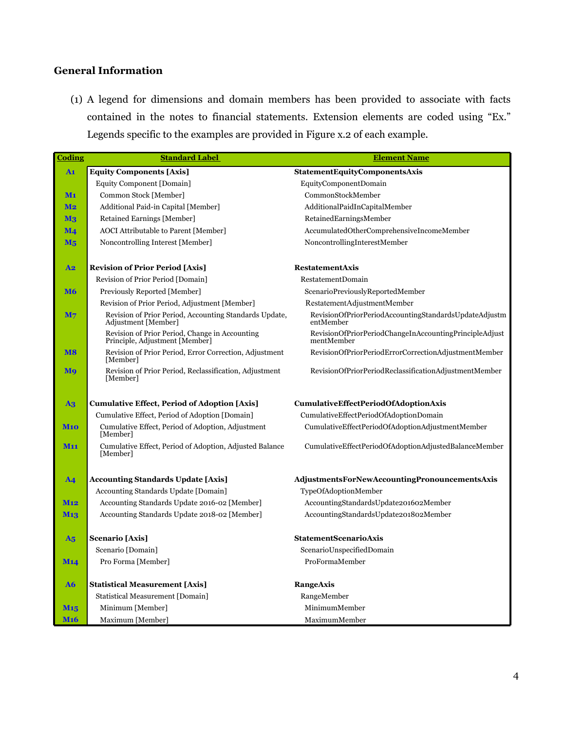# **General Information**

(1) A legend for dimensions and domain members has been provided to associate with facts contained in the notes to financial statements. Extension elements are coded using "Ex." Legends specific to the examples are provided in Figure x.2 of each example.

| <b>Coding</b>    | <b>Standard Label</b>                                                            | <b>Element Name</b>                                                  |
|------------------|----------------------------------------------------------------------------------|----------------------------------------------------------------------|
| A <sub>1</sub>   | <b>Equity Components [Axis]</b>                                                  | <b>StatementEquityComponentsAxis</b>                                 |
|                  | Equity Component [Domain]                                                        | EquityComponentDomain                                                |
| M <sub>1</sub>   | Common Stock [Member]                                                            | CommonStockMember                                                    |
| <u>M2</u>        | Additional Paid-in Capital [Member]                                              | AdditionalPaidInCapitalMember                                        |
| $\mathbf{M}_3$   | Retained Earnings [Member]                                                       | RetainedEarningsMember                                               |
| $\mathbf{M}_{4}$ | <b>AOCI</b> Attributable to Parent [Member]                                      | AccumulatedOtherComprehensiveIncomeMember                            |
| $M_5$            | Noncontrolling Interest [Member]                                                 | NoncontrollingInterestMember                                         |
|                  |                                                                                  |                                                                      |
| A <sub>2</sub>   | <b>Revision of Prior Period [Axis]</b>                                           | <b>RestatementAxis</b>                                               |
|                  | Revision of Prior Period [Domain]                                                | RestatementDomain                                                    |
| <b>M6</b>        | Previously Reported [Member]                                                     | ScenarioPreviouslyReportedMember                                     |
|                  | Revision of Prior Period, Adjustment [Member]                                    | RestatementAdjustmentMember                                          |
| $\mathbf{M}$ 7   | Revision of Prior Period, Accounting Standards Update,<br>Adjustment [Member]    | RevisionOfPriorPeriodAccountingStandardsUpdateAdjustm<br>entMember   |
|                  | Revision of Prior Period, Change in Accounting<br>Principle, Adjustment [Member] | RevisionOfPriorPeriodChangeInAccountingPrincipleAdjust<br>mentMember |
| <b>M8</b>        | Revision of Prior Period, Error Correction, Adjustment<br>[Member]               | RevisionOfPriorPeriodErrorCorrectionAdjustmentMember                 |
| Mq               | Revision of Prior Period, Reclassification, Adjustment<br>[Member]               | RevisionOfPriorPeriodReclassificationAdjustmentMember                |
| $\bf{A}$ 3       | <b>Cumulative Effect, Period of Adoption [Axis]</b>                              | CumulativeEffectPeriodOfAdoptionAxis                                 |
|                  | Cumulative Effect, Period of Adoption [Domain]                                   | CumulativeEffectPeriodOfAdoptionDomain                               |
| <b>M10</b>       | Cumulative Effect, Period of Adoption, Adjustment<br>[Member]                    | CumulativeEffectPeriodOfAdoptionAdjustmentMember                     |
| <b>M11</b>       | Cumulative Effect, Period of Adoption, Adjusted Balance<br>[Member]              | CumulativeEffectPeriodOfAdoptionAdjustedBalanceMember                |
| $\mathbf{A}$ 4   | <b>Accounting Standards Update [Axis]</b>                                        | AdjustmentsForNewAccountingPronouncementsAxis                        |
|                  | Accounting Standards Update [Domain]                                             | TypeOfAdoptionMember                                                 |
| <b>M12</b>       | Accounting Standards Update 2016-02 [Member]                                     | AccountingStandardsUpdate201602Member                                |
| <b>M13</b>       | Accounting Standards Update 2018-02 [Member]                                     | AccountingStandardsUpdate201802Member                                |
|                  |                                                                                  |                                                                      |
| A <sub>5</sub>   | Scenario [Axis]                                                                  | <b>StatementScenarioAxis</b>                                         |
|                  | Scenario [Domain]                                                                | ScenarioUnspecifiedDomain                                            |
| <b>M14</b>       | Pro Forma [Member]                                                               | ProFormaMember                                                       |
| ${\bf A6}$       | <b>Statistical Measurement [Axis]</b>                                            | <b>RangeAxis</b>                                                     |
|                  | Statistical Measurement [Domain]                                                 | RangeMember                                                          |
| M <sub>15</sub>  | Minimum [Member]                                                                 | MinimumMember                                                        |
| <b>M16</b>       | Maximum [Member]                                                                 | MaximumMember                                                        |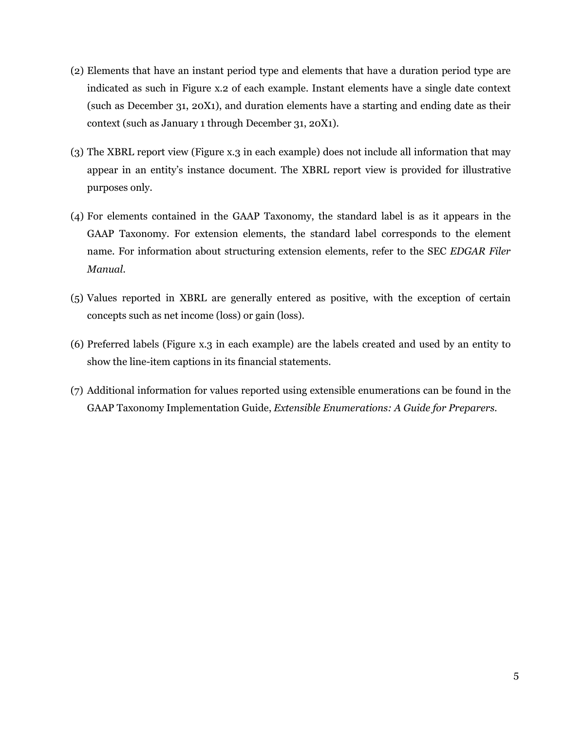- (2) Elements that have an instant period type and elements that have a duration period type are indicated as such in Figure x.2 of each example. Instant elements have a single date context (such as December 31, 20X1), and duration elements have a starting and ending date as their context (such as January 1 through December 31, 20X1).
- (3) The XBRL report view (Figure x.3 in each example) does not include all information that may appear in an entity's instance document. The XBRL report view is provided for illustrative purposes only.
- (4) For elements contained in the GAAP Taxonomy, the standard label is as it appears in the GAAP Taxonomy. For extension elements, the standard label corresponds to the element name. For information about structuring extension elements, refer to the SEC *EDGAR Filer Manual*.
- (5) Values reported in XBRL are generally entered as positive, with the exception of certain concepts such as net income (loss) or gain (loss).
- (6) Preferred labels (Figure x.3 in each example) are the labels created and used by an entity to show the line-item captions in its financial statements.
- (7) Additional information for values reported using extensible enumerations can be found in the GAAP Taxonomy Implementation Guide, *Extensible Enumerations: A Guide for Preparers*.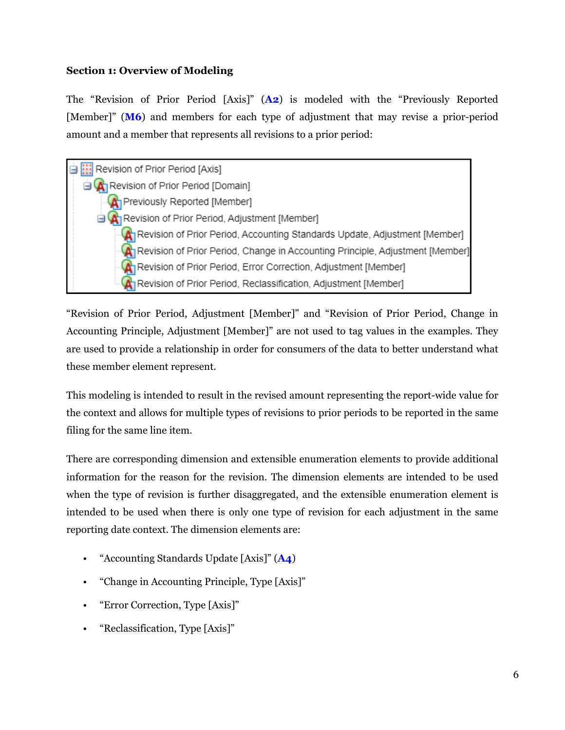#### **Section 1: Overview of Modeling**

The "Revision of Prior Period [Axis]" (**A2**) is modeled with the "Previously Reported [Member]" (M6) and members for each type of adjustment that may revise a prior-period amount and a member that represents all revisions to a prior period:



"Revision of Prior Period, Adjustment [Member]" and "Revision of Prior Period, Change in Accounting Principle, Adjustment [Member]" are not used to tag values in the examples. They are used to provide a relationship in order for consumers of the data to better understand what these member element represent.

This modeling is intended to result in the revised amount representing the report-wide value for the context and allows for multiple types of revisions to prior periods to be reported in the same filing for the same line item.

There are corresponding dimension and extensible enumeration elements to provide additional information for the reason for the revision. The dimension elements are intended to be used when the type of revision is further disaggregated, and the extensible enumeration element is intended to be used when there is only one type of revision for each adjustment in the same reporting date context. The dimension elements are:

- "Accounting Standards Update [Axis]" (**A4**)
- "Change in Accounting Principle, Type [Axis]"
- "Error Correction, Type [Axis]"
- "Reclassification, Type [Axis]"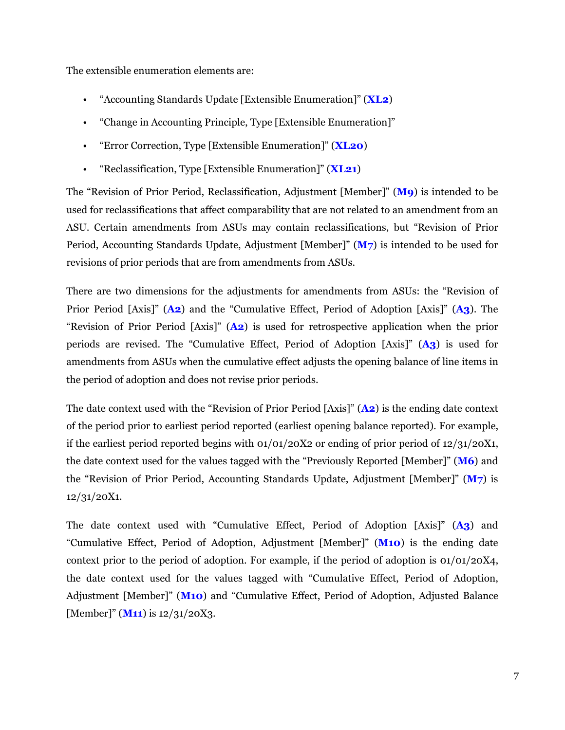The extensible enumeration elements are:

- "Accounting Standards Update [Extensible Enumeration]" (**XL2**)
- "Change in Accounting Principle, Type [Extensible Enumeration]"
- "Error Correction, Type [Extensible Enumeration]" (**XL20**)
- "Reclassification, Type [Extensible Enumeration]" (**XL21**)

The "Revision of Prior Period, Reclassification, Adjustment [Member]" (**M9**) is intended to be used for reclassifications that affect comparability that are not related to an amendment from an ASU. Certain amendments from ASUs may contain reclassifications, but "Revision of Prior Period, Accounting Standards Update, Adjustment [Member]" (**M7**) is intended to be used for revisions of prior periods that are from amendments from ASUs.

There are two dimensions for the adjustments for amendments from ASUs: the "Revision of Prior Period [Axis]" (**A2**) and the "Cumulative Effect, Period of Adoption [Axis]" (**A3**). The "Revision of Prior Period [Axis]" (**A2**) is used for retrospective application when the prior periods are revised. The "Cumulative Effect, Period of Adoption [Axis]" (**A3**) is used for amendments from ASUs when the cumulative effect adjusts the opening balance of line items in the period of adoption and does not revise prior periods.

The date context used with the "Revision of Prior Period [Axis]" (**A2**) is the ending date context of the period prior to earliest period reported (earliest opening balance reported). For example, if the earliest period reported begins with  $01/01/20X2$  or ending of prior period of  $12/31/20X1$ , the date context used for the values tagged with the "Previously Reported [Member]" (**M6**) and the "Revision of Prior Period, Accounting Standards Update, Adjustment [Member]" (**M7**) is 12/31/20X1.

The date context used with "Cumulative Effect, Period of Adoption [Axis]" (**A3**) and "Cumulative Effect, Period of Adoption, Adjustment [Member]" (**M10**) is the ending date context prior to the period of adoption. For example, if the period of adoption is  $01/01/20X4$ , the date context used for the values tagged with "Cumulative Effect, Period of Adoption, Adjustment [Member]" (**M10**) and "Cumulative Effect, Period of Adoption, Adjusted Balance [Member]" (**M11**) is 12/31/20X3.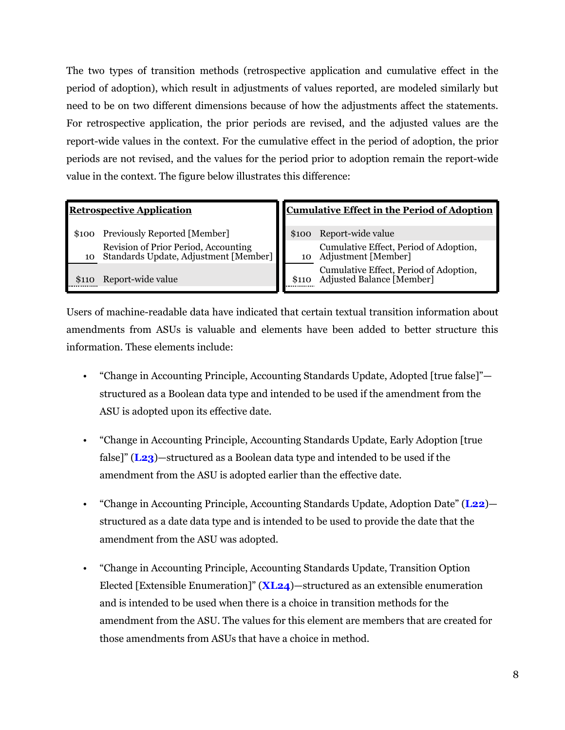The two types of transition methods (retrospective application and cumulative effect in the period of adoption), which result in adjustments of values reported, are modeled similarly but need to be on two different dimensions because of how the adjustments affect the statements. For retrospective application, the prior periods are revised, and the adjusted values are the report-wide values in the context. For the cumulative effect in the period of adoption, the prior periods are not revised, and the values for the period prior to adoption remain the report-wide value in the context. The figure below illustrates this difference:

\$100 Previously Reported [Member] \$100 Report-wide value 10 Revision of Prior Period, Accounting Standards Update, Adjustment [Member]

\$110 Report-wide value

# **Retrospective Application Cumulative Effect in the Period of Adoption**

Cumulative Effect, Period of Adoption, Adjustment [Member] Cumulative Effect, Period of Adoption, Adjusted Balance [Member]

Users of machine-readable data have indicated that certain textual transition information about amendments from ASUs is valuable and elements have been added to better structure this information. These elements include:

- "Change in Accounting Principle, Accounting Standards Update, Adopted [true false]" structured as a Boolean data type and intended to be used if the amendment from the ASU is adopted upon its effective date.
- "Change in Accounting Principle, Accounting Standards Update, Early Adoption [true false]" (**L23**)—structured as a Boolean data type and intended to be used if the amendment from the ASU is adopted earlier than the effective date.
- "Change in Accounting Principle, Accounting Standards Update, Adoption Date" (**L22**) structured as a date data type and is intended to be used to provide the date that the amendment from the ASU was adopted.
- "Change in Accounting Principle, Accounting Standards Update, Transition Option Elected [Extensible Enumeration]" (**XL24**)—structured as an extensible enumeration and is intended to be used when there is a choice in transition methods for the amendment from the ASU. The values for this element are members that are created for those amendments from ASUs that have a choice in method.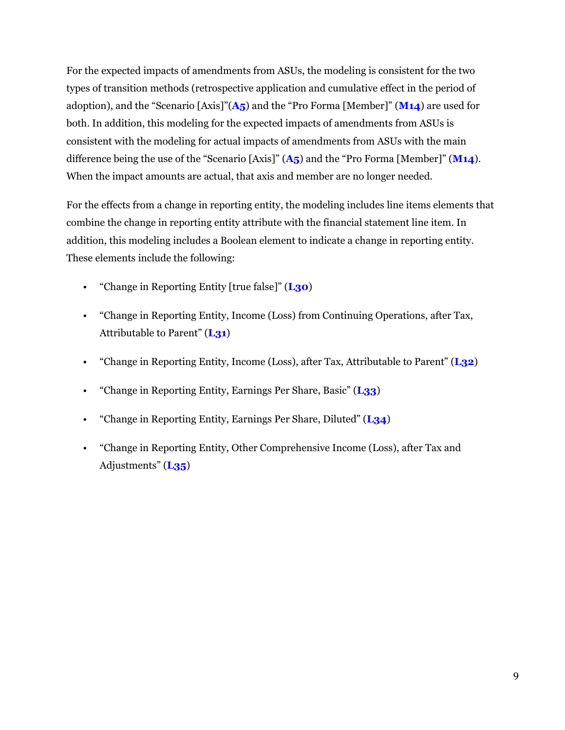For the expected impacts of amendments from ASUs, the modeling is consistent for the two types of transition methods (retrospective application and cumulative effect in the period of adoption), and the "Scenario [Axis]"(**A5**) and the "Pro Forma [Member]" (**M14**) are used for both. In addition, this modeling for the expected impacts of amendments from ASUs is consistent with the modeling for actual impacts of amendments from ASUs with the main difference being the use of the "Scenario [Axis]" (**A5**) and the "Pro Forma [Member]" (**M14**). When the impact amounts are actual, that axis and member are no longer needed.

For the effects from a change in reporting entity, the modeling includes line items elements that combine the change in reporting entity attribute with the financial statement line item. In addition, this modeling includes a Boolean element to indicate a change in reporting entity. These elements include the following:

- "Change in Reporting Entity [true false]" (**L30**)
- "Change in Reporting Entity, Income (Loss) from Continuing Operations, after Tax, Attributable to Parent" (**L31**)
- "Change in Reporting Entity, Income (Loss), after Tax, Attributable to Parent" (**L32**)
- "Change in Reporting Entity, Earnings Per Share, Basic" (**L33**)
- "Change in Reporting Entity, Earnings Per Share, Diluted" (**L34**)
- "Change in Reporting Entity, Other Comprehensive Income (Loss), after Tax and Adjustments" (**L35**)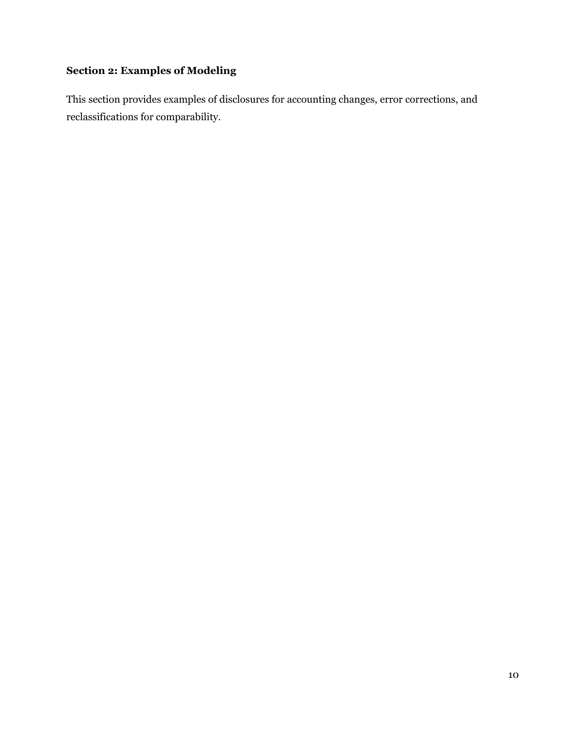## **Section 2: Examples of Modeling**

This section provides examples of disclosures for accounting changes, error corrections, and reclassifications for comparability.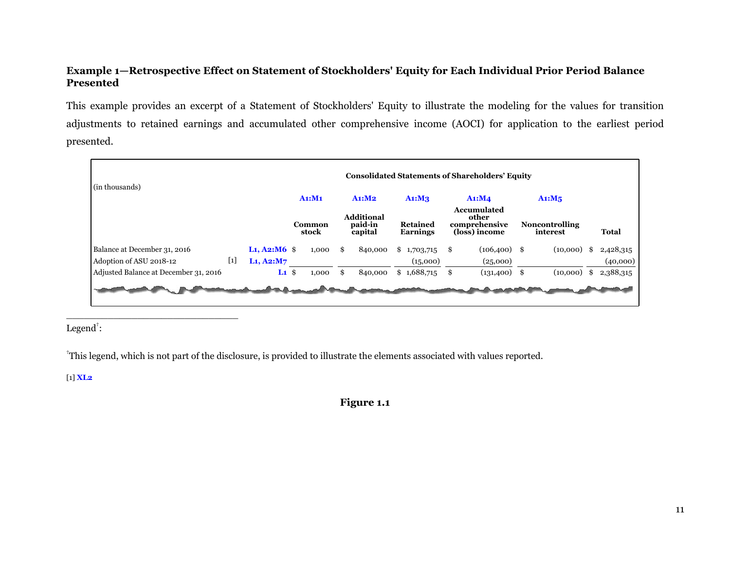#### <span id="page-12-0"></span>**Example 1—Retrospective Effect on Statement of Stockholders' Equity for Each Individual Prior Period Balance Presented**

This example provides an excerpt of a Statement of Stockholders' Equity to illustrate the modeling for the values for transition adjustments to retained earnings and accumulated other comprehensive income (AOCI) for application to the earliest period presented.

| (in thousands)                        |       |                    |        |                 |        |                                         |                                    |        | <b>Consolidated Statements of Shareholders' Equity</b>        |        |                                   |                 |
|---------------------------------------|-------|--------------------|--------|-----------------|--------|-----------------------------------------|------------------------------------|--------|---------------------------------------------------------------|--------|-----------------------------------|-----------------|
|                                       |       |                    | A1: M1 |                 | A1: M2 |                                         | A1: M3                             | Ai: M4 |                                                               | A1: M5 |                                   |                 |
|                                       |       |                    |        | Common<br>stock |        | <b>Additional</b><br>paid-in<br>capital | <b>Retained</b><br><b>Earnings</b> |        | <b>Accumulated</b><br>other<br>comprehensive<br>(loss) income |        | <b>Noncontrolling</b><br>interest | Total           |
| Balance at December 31, 2016          |       | $L_1$ , A2:M6 $\,$ |        | 1,000           | £.     | 840,000                                 | \$1,703,715                        | S      | $(106, 400)$ \$                                               |        | (10,000)                          | \$<br>2,428,315 |
| Adoption of ASU 2018-12               | $[1]$ | $L_1$ , A2:M7      |        |                 |        |                                         | (15,000)                           |        | (25,000)                                                      |        |                                   | (40,000)        |
| Adjusted Balance at December 31, 2016 |       | L1                 | \$     | 1,000           | \$     | 840,000                                 | \$1,688,715                        |        | $(131,400)$ \$                                                |        | (10,000)                          | \$<br>2,388,315 |
|                                       |       |                    |        |                 |        |                                         |                                    |        |                                                               |        |                                   |                 |

 $Legend<sup>†</sup>:$ 

\_\_\_\_\_\_\_\_\_\_\_\_\_\_\_\_\_\_\_\_\_\_\_\_\_\_\_\_\_

†This legend, which is not part of the disclosure, is provided to illustrate the elements associated with values reported.

[1] **XL2**

### **Figure 1.1**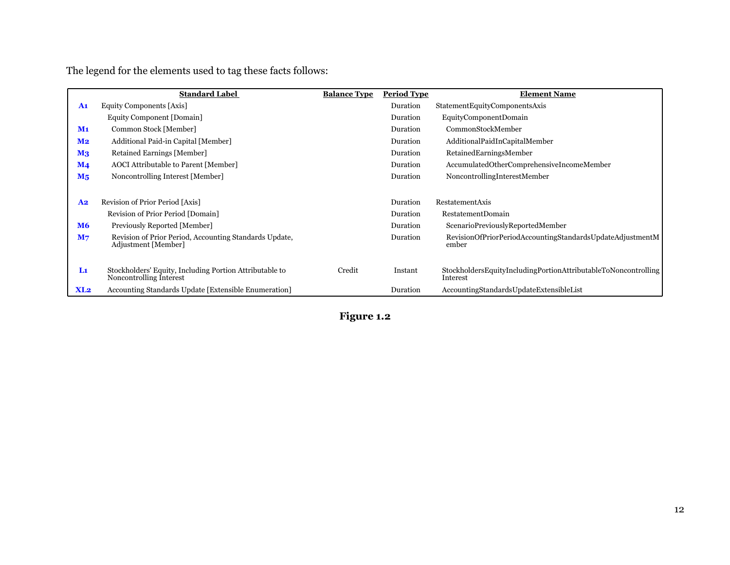The legend for the elements used to tag these facts follows:

|                           | <b>Standard Label</b>                                                              | <b>Balance Type</b> | <b>Period Type</b> | <b>Element Name</b>                                                        |
|---------------------------|------------------------------------------------------------------------------------|---------------------|--------------------|----------------------------------------------------------------------------|
| $\mathbf{A1}$             | Equity Components [Axis]                                                           |                     | Duration           | StatementEquityComponentsAxis                                              |
|                           | Equity Component [Domain]                                                          |                     | Duration           | EquityComponentDomain                                                      |
| $M1$                      | Common Stock [Member]                                                              |                     | Duration           | CommonStockMember                                                          |
| M <sub>2</sub>            | Additional Paid-in Capital [Member]                                                |                     | Duration           | AdditionalPaidInCapitalMember                                              |
| $\mathbf{M}$ <sub>3</sub> | Retained Earnings [Member]                                                         |                     | Duration           | RetainedEarningsMember                                                     |
| $\mathbf{M}$ 4            | AOCI Attributable to Parent [Member]                                               |                     | Duration           | AccumulatedOtherComprehensiveIncomeMember                                  |
| M <sub>5</sub>            | Noncontrolling Interest [Member]                                                   |                     | Duration           | NoncontrollingInterestMember                                               |
|                           |                                                                                    |                     |                    |                                                                            |
| A <sub>2</sub>            | Revision of Prior Period [Axis]                                                    |                     | Duration           | RestatementAxis                                                            |
|                           | Revision of Prior Period [Domain]                                                  |                     | Duration           | RestatementDomain                                                          |
| <b>M6</b>                 | Previously Reported [Member]                                                       |                     | Duration           | ScenarioPreviouslyReportedMember                                           |
| M <sub>7</sub>            | Revision of Prior Period, Accounting Standards Update,<br>Adjustment [Member]      |                     | Duration           | RevisionOfPriorPeriodAccountingStandardsUpdateAdjustmentM<br>ember         |
| L1                        | Stockholders' Equity, Including Portion Attributable to<br>Noncontrolling Interest | Credit              | Instant            | StockholdersEquityIncludingPortionAttributableToNoncontrolling<br>Interest |
| XL2                       | Accounting Standards Update [Extensible Enumeration]                               |                     | Duration           | AccountingStandardsUpdateExtensibleList                                    |

# **Figure 1.2**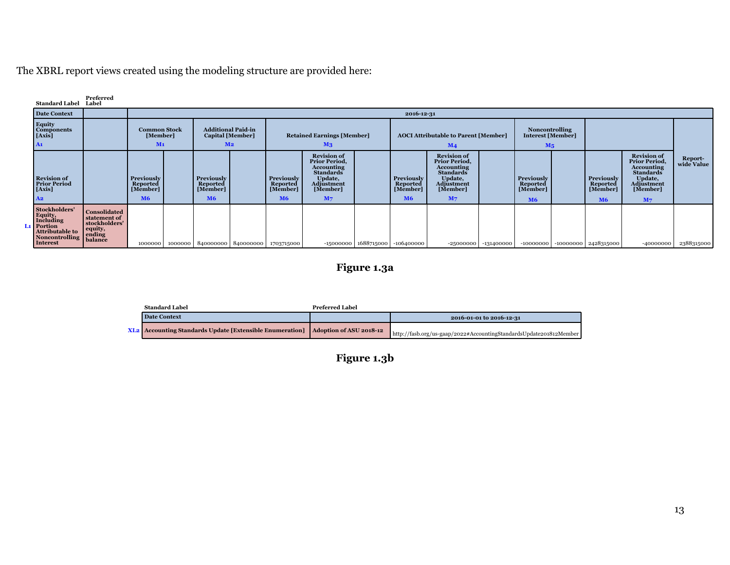The XBRL report views created using the modeling structure are provided here:

| <b>Standard Label</b>                                                                                                                                     | Preferred<br>Label                                                                                                          |                                                        |  |                                                        |                                                                                                                      |                                                      |                                                                                                                                            |  |                                                      |                                                                                                                                                   |                        |                                                 |                                                        |                                                                                                                                                   |                       |
|-----------------------------------------------------------------------------------------------------------------------------------------------------------|-----------------------------------------------------------------------------------------------------------------------------|--------------------------------------------------------|--|--------------------------------------------------------|----------------------------------------------------------------------------------------------------------------------|------------------------------------------------------|--------------------------------------------------------------------------------------------------------------------------------------------|--|------------------------------------------------------|---------------------------------------------------------------------------------------------------------------------------------------------------|------------------------|-------------------------------------------------|--------------------------------------------------------|---------------------------------------------------------------------------------------------------------------------------------------------------|-----------------------|
| <b>Date Context</b>                                                                                                                                       |                                                                                                                             |                                                        |  |                                                        |                                                                                                                      |                                                      |                                                                                                                                            |  | 2016-12-31                                           |                                                                                                                                                   |                        |                                                 |                                                        |                                                                                                                                                   |                       |
| <b>Equity</b><br><b>Components</b><br>[Axis]<br>$\mathbf{A1}$                                                                                             | <b>Additional Paid-in</b><br><b>Common Stock</b><br>[Member]<br><b>Capital</b> [Member]<br>M <sub>2</sub><br>M <sub>1</sub> |                                                        |  |                                                        | <b>Retained Earnings [Member]</b><br><b>AOCI Attributable to Parent [Member]</b><br>M <sub>4</sub><br>M <sub>3</sub> |                                                      |                                                                                                                                            |  |                                                      | <b>Noncontrolling</b><br>Interest [Member]<br>M <sub>5</sub>                                                                                      |                        |                                                 |                                                        |                                                                                                                                                   |                       |
| <b>Revision of</b><br><b>Prior Period</b><br>[Axis]<br>A2                                                                                                 |                                                                                                                             | <b>Previously</b><br>Reported<br>[Member]<br><b>M6</b> |  | Previously<br>Reported<br>[Member]<br><b>M6</b>        |                                                                                                                      | Previously<br>Reported<br>[Member]<br>M <sub>6</sub> | <b>Revision of</b><br><b>Prior Period,</b><br><b>Accounting</b><br><b>Standards</b><br>Update,<br>Adjustment<br>[Member]<br>M <sub>7</sub> |  | Previously<br>Reported<br>[Member]<br>M <sub>6</sub> | <b>Revision of</b><br><b>Prior Period,</b><br><b>Accounting</b><br><b>Standards</b><br>Update,<br><b>Adjustment</b><br>[Member]<br>M <sub>7</sub> |                        | Previously<br>Reported<br>[Member]<br><b>M6</b> | <b>Previously</b><br>Reported<br>[Member]<br><b>M6</b> | <b>Revision of</b><br><b>Prior Period,</b><br><b>Accounting</b><br><b>Standards</b><br>Update,<br><b>Adjustment</b><br>[Member]<br>M <sub>7</sub> | Report-<br>wide Value |
| Stockholders'<br>Equity,<br>Including<br>L <sub>1</sub> Portion<br><b>Portion</b><br>Attributable to equity,<br>Noncontrolling balance<br><b>Interest</b> | <b>Consolidated</b><br>statement of<br>stockholders'                                                                        |                                                        |  | 1000000   1000000   840000000   840000000   1703715000 |                                                                                                                      |                                                      |                                                                                                                                            |  | $-15000000$   $1688715000$   $-106400000$            |                                                                                                                                                   | $-25000000$ -131400000 | $-10000000$                                     | $-10000000$   2428315000                               | $-40000000$                                                                                                                                       | 2388315000            |

**Figure 1.3a**

| <b>Standard Label</b>                                                                     | Preferred Label |                                                                    |
|-------------------------------------------------------------------------------------------|-----------------|--------------------------------------------------------------------|
| <b>Date Context</b>                                                                       |                 | 2016-01-01 to 2016-12-31                                           |
| <b>XL2</b> Accounting Standards Update [Extensible Enumeration]   Adoption of ASU 2018-12 |                 | http://fasb.org/us-gaap/2022#AccountingStandardsUpdate201812Member |

**Figure 1.3b**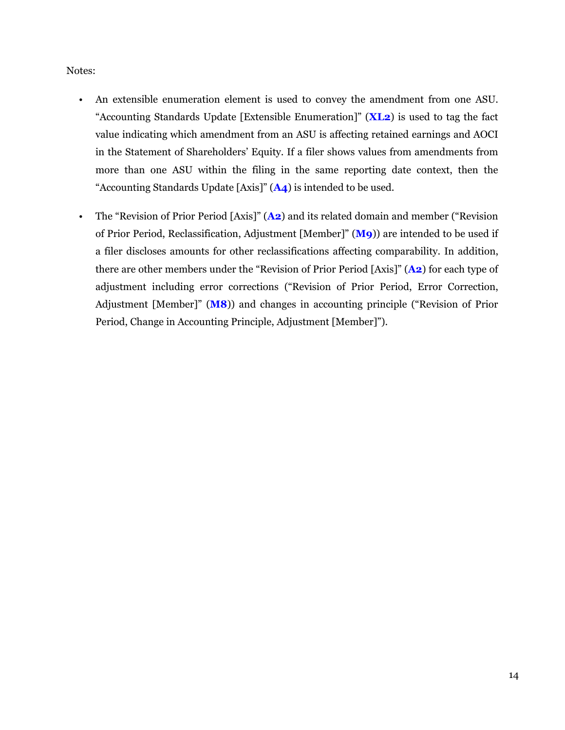#### Notes:

- An extensible enumeration element is used to convey the amendment from one ASU. "Accounting Standards Update [Extensible Enumeration]" (**XL2**) is used to tag the fact value indicating which amendment from an ASU is affecting retained earnings and AOCI in the Statement of Shareholders' Equity. If a filer shows values from amendments from more than one ASU within the filing in the same reporting date context, then the "Accounting Standards Update [Axis]" (**A4**) is intended to be used.
- The "Revision of Prior Period [Axis]" (**A2**) and its related domain and member ("Revision of Prior Period, Reclassification, Adjustment [Member]" (**M9**)) are intended to be used if a filer discloses amounts for other reclassifications affecting comparability. In addition, there are other members under the "Revision of Prior Period [Axis]" (**A2**) for each type of adjustment including error corrections ("Revision of Prior Period, Error Correction, Adjustment [Member]" (**M8**)) and changes in accounting principle ("Revision of Prior Period, Change in Accounting Principle, Adjustment [Member]").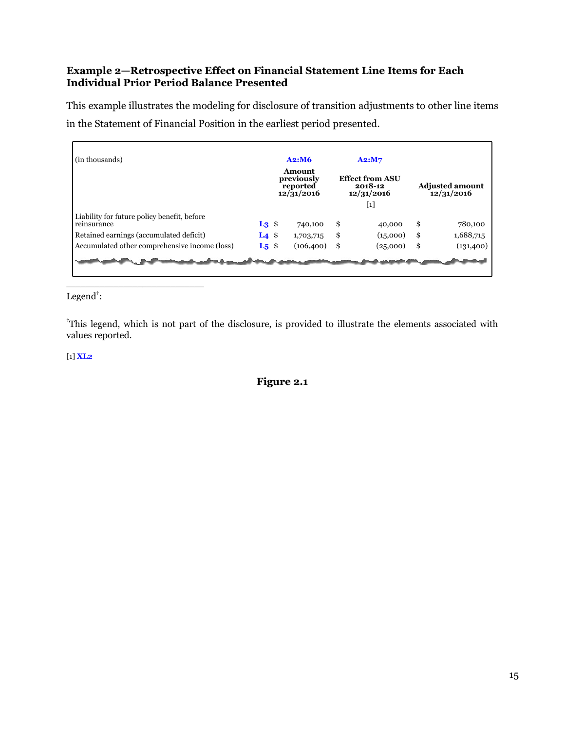#### <span id="page-16-0"></span>**Example 2—Retrospective Effect on Financial Statement Line Items for Each Individual Prior Period Balance Presented**

This example illustrates the modeling for disclosure of transition adjustments to other line items in the Statement of Financial Position in the earliest period presented.

| (in thousands)                                             |                              | A2: M6                                                      | A2: M7                                          |                                      |
|------------------------------------------------------------|------------------------------|-------------------------------------------------------------|-------------------------------------------------|--------------------------------------|
|                                                            |                              | Amount<br>previously<br>reported<br>$12/\overline{3}1/2016$ | <b>Effect from ASU</b><br>2018-12<br>12/31/2016 | <b>Adjusted amount</b><br>12/31/2016 |
|                                                            |                              |                                                             | $[1]$                                           |                                      |
| Liability for future policy benefit, before<br>reinsurance | $L_3$ \$                     | 740,100                                                     | \$<br>40,000                                    | \$<br>780,100                        |
| Retained earnings (accumulated deficit)                    | L <sub>4</sub> $\frac{1}{2}$ | 1,703,715                                                   | \$<br>(15,000)                                  | \$<br>1,688,715                      |
| Accumulated other comprehensive income (loss)              | $L_5$ \$                     | (106, 400)                                                  | \$<br>(25,000)                                  | \$<br>(131,400)                      |
|                                                            |                              |                                                             |                                                 |                                      |
|                                                            |                              |                                                             |                                                 |                                      |

Legend $\ddagger$ :

\_\_\_\_\_\_\_\_\_\_\_\_\_\_\_\_\_\_\_\_\_\_\_\_\_\_\_\_\_

†This legend, which is not part of the disclosure, is provided to illustrate the elements associated with values reported.

[1] **XL2**

**Figure 2.1**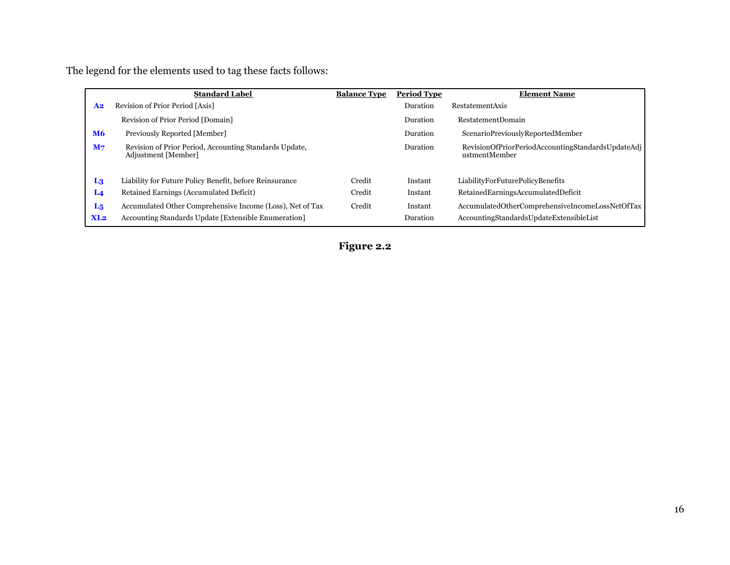The legend for the elements used to tag these facts follows:

| <b>Standard Label</b>                                                                           | <b>Balance Type</b> | <b>Period Type</b> | <b>Element Name</b>                                                |
|-------------------------------------------------------------------------------------------------|---------------------|--------------------|--------------------------------------------------------------------|
| Revision of Prior Period [Axis]<br>A <sub>2</sub>                                               |                     | Duration           | RestatementAxis                                                    |
| Revision of Prior Period [Domain]                                                               |                     | Duration           | <b>RestatementDomain</b>                                           |
| <b>M6</b><br>Previously Reported [Member]                                                       |                     | Duration           | ScenarioPreviouslyReportedMember                                   |
| Revision of Prior Period, Accounting Standards Update,<br>M <sub>7</sub><br>Adjustment [Member] |                     | Duration           | RevisionOfPriorPeriodAccountingStandardsUpdateAdj<br>ustmentMember |
| Liability for Future Policy Benefit, before Reinsurance<br>L <sub>3</sub>                       | Credit              | Instant            | LiabilityForFuturePolicyBenefits                                   |
| Retained Earnings (Accumulated Deficit)<br>L <sub>4</sub>                                       | Credit              | Instant            | RetainedEarningsAccumulatedDeficit                                 |
| Accumulated Other Comprehensive Income (Loss), Net of Tax<br>$L_5$                              | Credit              | Instant            | AccumulatedOtherComprehensiveIncomeLossNetOfTax                    |
| Accounting Standards Update [Extensible Enumeration]<br>XL2                                     |                     | Duration           | AccountingStandardsUpdateExtensibleList                            |

**Figure 2.2**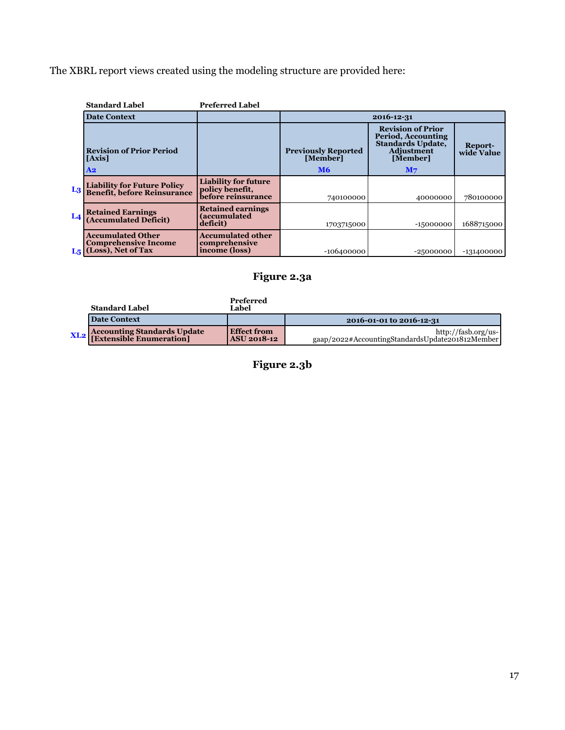The XBRL report views created using the modeling structure are provided here:

|                | <b>Standard Label</b>                                                               | <b>Preferred Label</b>                                               |                            |                                                                                                 |                       |  |  |  |  |  |
|----------------|-------------------------------------------------------------------------------------|----------------------------------------------------------------------|----------------------------|-------------------------------------------------------------------------------------------------|-----------------------|--|--|--|--|--|
|                | <b>Date Context</b>                                                                 |                                                                      | 2016-12-31                 |                                                                                                 |                       |  |  |  |  |  |
|                | <b>Revision of Prior Period</b>                                                     |                                                                      | <b>Previously Reported</b> | <b>Revision of Prior</b><br>Period, Accounting<br><b>Standards Update,</b><br><b>Adjustment</b> | Report-<br>wide Value |  |  |  |  |  |
|                | [Axis]                                                                              |                                                                      | [Member]                   | [Member]                                                                                        |                       |  |  |  |  |  |
|                | $\bf{A2}$                                                                           |                                                                      | <b>M6</b>                  | M <sub>7</sub>                                                                                  |                       |  |  |  |  |  |
| L <sub>3</sub> | <b>Liability for Future Policy<br/>Benefit, before Reinsurance</b>                  | <b>Liability for future</b><br>policy benefit,<br>before reinsurance | 740100000                  | 40000000                                                                                        | 780100000             |  |  |  |  |  |
| $L_4$          | <b>Retained Earnings<br/>(Accumulated Deficit)</b>                                  | <b>Retained earnings</b><br><b>(accumulated</b><br>deficit)          | 1703715000                 | $-15000000$                                                                                     | 1688715000            |  |  |  |  |  |
|                | <b>Accumulated Other</b><br><b>Comprehensive Income</b><br>$L_5$ (Loss), Net of Tax | <b>Accumulated other</b><br>comprehensive<br>income (loss)           | -106400000                 | $-25000000$                                                                                     | -131400000            |  |  |  |  |  |

# **Figure 2.3a**

| <b>Standard Label</b>                  | Preferred<br>Label                  |                                                                        |
|----------------------------------------|-------------------------------------|------------------------------------------------------------------------|
| Date Context                           |                                     | 2016-01-01 to 2016-12-31                                               |
| <b>XL2</b> Accounting Standards Update | l Effect from<br><b>ASU 2018-12</b> | http://fasb.org/us-<br>gaap/2022#AccountingStandardsUpdate201812Member |

**Figure 2.3b**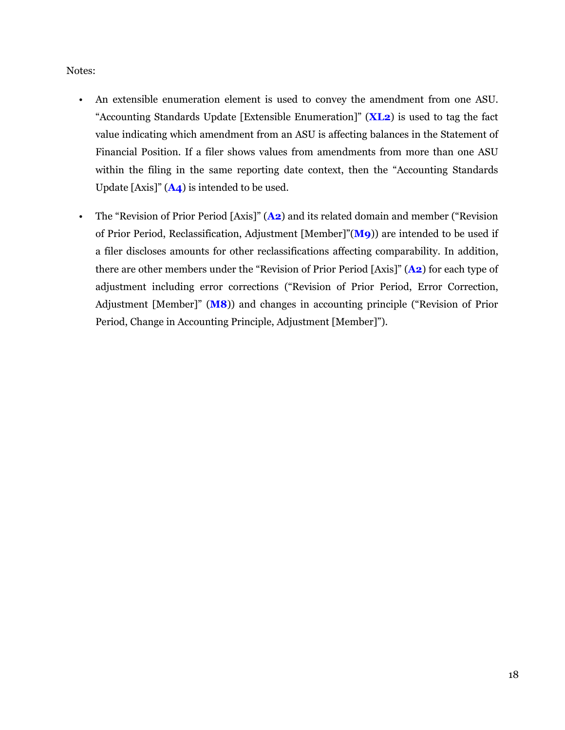#### Notes:

- An extensible enumeration element is used to convey the amendment from one ASU. "Accounting Standards Update [Extensible Enumeration]" (**XL2**) is used to tag the fact value indicating which amendment from an ASU is affecting balances in the Statement of Financial Position. If a filer shows values from amendments from more than one ASU within the filing in the same reporting date context, then the "Accounting Standards Update [Axis]" (**A4**) is intended to be used.
- The "Revision of Prior Period [Axis]" (**A2**) and its related domain and member ("Revision of Prior Period, Reclassification, Adjustment [Member]"(**M9**)) are intended to be used if a filer discloses amounts for other reclassifications affecting comparability. In addition, there are other members under the "Revision of Prior Period [Axis]" (**A2**) for each type of adjustment including error corrections ("Revision of Prior Period, Error Correction, Adjustment [Member]" (**M8**)) and changes in accounting principle ("Revision of Prior Period, Change in Accounting Principle, Adjustment [Member]").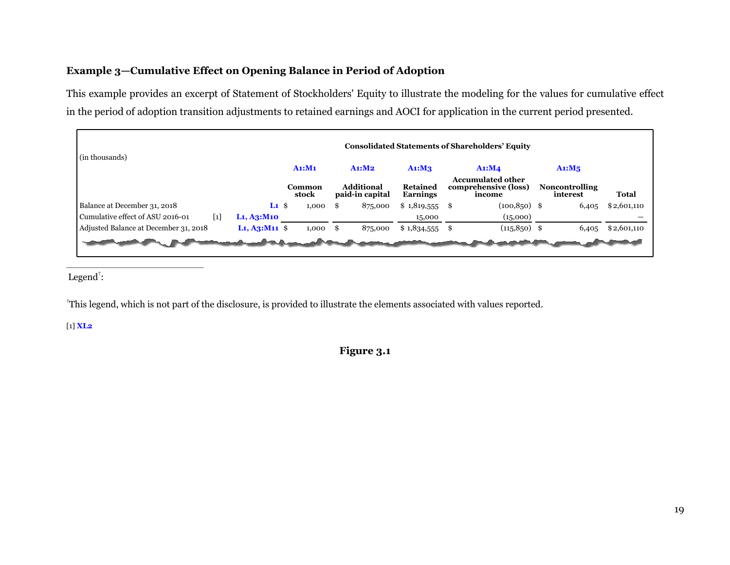#### <span id="page-20-0"></span>**Example 3—Cumulative Effect on Opening Balance in Period of Adoption**

This example provides an excerpt of Statement of Stockholders' Equity to illustrate the modeling for the values for cumulative effect in the period of adoption transition adjustments to retained earnings and AOCI for application in the current period presented.

| (in thousands)                                                                        |                                                            |                 |                                      |                                    | <b>Consolidated Statements of Shareholders' Equity</b>     |                                   |              |
|---------------------------------------------------------------------------------------|------------------------------------------------------------|-----------------|--------------------------------------|------------------------------------|------------------------------------------------------------|-----------------------------------|--------------|
|                                                                                       |                                                            | A1: M1          | A1: M2                               | A1: M3                             | A1:MA                                                      | $Ai: M_5$                         |              |
|                                                                                       |                                                            | Common<br>stock | <b>Additional</b><br>paid-in capital | <b>Retained</b><br><b>Earnings</b> | <b>Accumulated other</b><br>comprehensive (loss)<br>income | <b>Noncontrolling</b><br>interest | <b>Total</b> |
| Balance at December 31, 2018<br>Cumulative effect of ASU 2016-01<br>$\lceil 1 \rceil$ | $L1 \$<br>L <sub>1</sub> , A <sub>3</sub> :M <sub>10</sub> | 1,000           | 875,000<br>£.                        | $$1,819,555$ \;<br>15,000          | $(100, 850)$ \$<br>(15,000)                                | 6,405                             | \$2,601,110  |
| Adjusted Balance at December 31, 2018                                                 | $L_1, A_3: M_{11}$ \$                                      | 1,000           | 875,000<br>£.                        | $$1,834,555$ \;                    | $(115, 850)$ \$                                            | 6,405                             | \$2,601,110  |

Legend<sup>†</sup>:

\_\_\_\_\_\_\_\_\_\_\_\_\_\_\_\_\_\_\_\_\_\_\_\_\_\_\_\_\_

†This legend, which is not part of the disclosure, is provided to illustrate the elements associated with values reported.

[1] **XL2**

**Figure 3.1**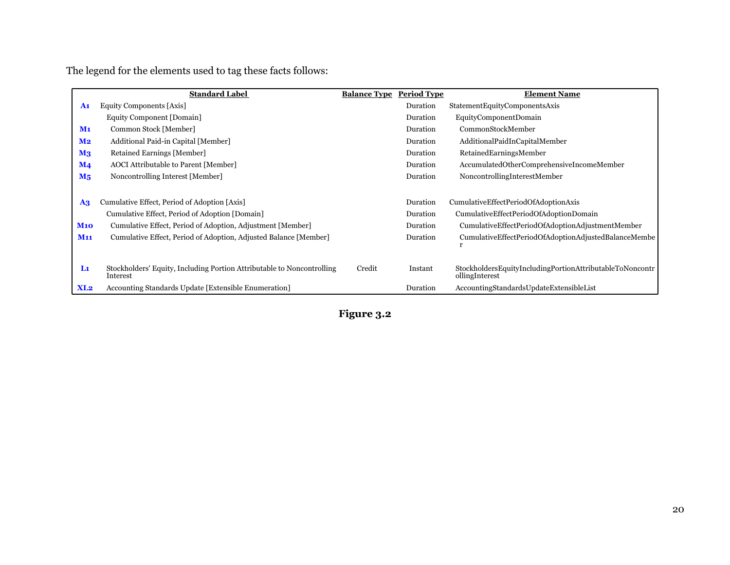The legend for the elements used to tag these facts follows:

|                           | <b>Standard Label</b>                                                              | <b>Balance Type Period Type</b> |          | <b>Element Name</b>                                                        |
|---------------------------|------------------------------------------------------------------------------------|---------------------------------|----------|----------------------------------------------------------------------------|
| A <sub>1</sub>            | Equity Components [Axis]                                                           |                                 | Duration | StatementEquityComponentsAxis                                              |
|                           | Equity Component [Domain]                                                          |                                 | Duration | EquityComponentDomain                                                      |
| M <sub>1</sub>            | Common Stock [Member]                                                              |                                 | Duration | CommonStockMember                                                          |
| M <sub>2</sub>            | Additional Paid-in Capital [Member]                                                |                                 | Duration | AdditionalPaidInCapitalMember                                              |
| $\mathbf{M}$ <sub>3</sub> | Retained Earnings [Member]                                                         |                                 | Duration | RetainedEarningsMember                                                     |
| $\mathbf{M}$ 4            | <b>AOCI</b> Attributable to Parent [Member]                                        |                                 | Duration | AccumulatedOtherComprehensiveIncomeMember                                  |
| $M_5$                     | Noncontrolling Interest [Member]                                                   |                                 | Duration | NoncontrollingInterestMember                                               |
|                           |                                                                                    |                                 |          |                                                                            |
| $\mathbf{A}$ 3            | Cumulative Effect, Period of Adoption [Axis]                                       |                                 | Duration | CumulativeEffectPeriodOfAdoptionAxis                                       |
|                           | Cumulative Effect, Period of Adoption [Domain]                                     |                                 | Duration | CumulativeEffectPeriodOfAdoptionDomain                                     |
| <b>M10</b>                | Cumulative Effect, Period of Adoption, Adjustment [Member]                         |                                 | Duration | CumulativeEffectPeriodOfAdoptionAdjustmentMember                           |
| <b>M11</b>                | Cumulative Effect, Period of Adoption, Adjusted Balance [Member]                   |                                 | Duration | CumulativeEffectPeriodOfAdoptionAdjustedBalanceMembe                       |
| L1                        | Stockholders' Equity, Including Portion Attributable to Noncontrolling<br>Interest | Credit                          | Instant  | StockholdersEquityIncludingPortionAttributableToNoncontr<br>ollingInterest |
| XL2                       | Accounting Standards Update [Extensible Enumeration]                               |                                 | Duration | AccountingStandardsUpdateExtensibleList                                    |

**Figure 3.2**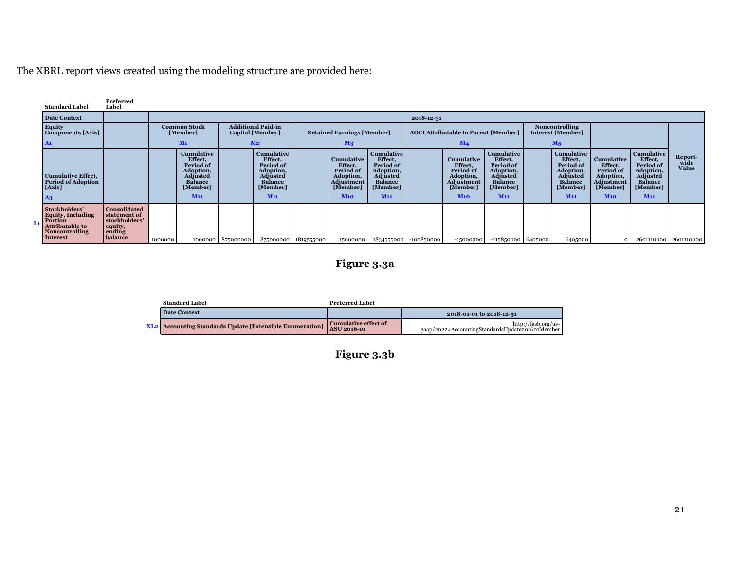The XBRL report views created using the modeling structure are provided here:

|    | <b>Standard Label</b>                                                                                               | Preferred<br>Label                                                                   |         |                                                                                                                     |                     |                                                                                                                     |                                                                                  |                                                                                         |                                                                                                                            |            |                                                                                         |                                                                                                              |                                                   |                                                                                                                            |                                                                                         |                                                                                                                     |                                 |
|----|---------------------------------------------------------------------------------------------------------------------|--------------------------------------------------------------------------------------|---------|---------------------------------------------------------------------------------------------------------------------|---------------------|---------------------------------------------------------------------------------------------------------------------|----------------------------------------------------------------------------------|-----------------------------------------------------------------------------------------|----------------------------------------------------------------------------------------------------------------------------|------------|-----------------------------------------------------------------------------------------|--------------------------------------------------------------------------------------------------------------|---------------------------------------------------|----------------------------------------------------------------------------------------------------------------------------|-----------------------------------------------------------------------------------------|---------------------------------------------------------------------------------------------------------------------|---------------------------------|
|    | <b>Date Context</b>                                                                                                 |                                                                                      |         |                                                                                                                     |                     |                                                                                                                     |                                                                                  |                                                                                         |                                                                                                                            | 2018-12-31 |                                                                                         |                                                                                                              |                                                   |                                                                                                                            |                                                                                         |                                                                                                                     |                                 |
|    | Equity<br><b>Components</b> [Axis]                                                                                  |                                                                                      |         | <b>Common Stock</b><br>[Member]                                                                                     |                     | <b>Additional Paid-in</b><br>Capital [Member]                                                                       | <b>Retained Earnings [Member]</b><br><b>AOCI Attributable to Parent [Member]</b> |                                                                                         |                                                                                                                            |            |                                                                                         |                                                                                                              | <b>Noncontrolling</b><br><b>Interest [Member]</b> |                                                                                                                            |                                                                                         |                                                                                                                     |                                 |
|    | A1                                                                                                                  |                                                                                      |         | M <sub>1</sub>                                                                                                      |                     | M <sub>2</sub>                                                                                                      |                                                                                  | M <sub>3</sub>                                                                          |                                                                                                                            |            | M <sub>4</sub>                                                                          |                                                                                                              |                                                   | M <sub>5</sub>                                                                                                             |                                                                                         |                                                                                                                     |                                 |
|    | <b>Cumulative Effect.</b><br><b>Period of Adoption</b><br>[Axis]<br>A3                                              |                                                                                      |         | <b>Cumulative</b><br>Effect,<br>Period of<br>Adoption,<br>Adjusted<br><b>Balance</b><br>[Member]<br>M <sub>11</sub> |                     | <b>Cumulative</b><br>Effect,<br>Period of<br>Adoption,<br>Adjusted<br><b>Balance</b><br>[Member]<br>M <sub>11</sub> |                                                                                  | <b>Cumulative</b><br>Effect,<br>Period of<br>Adoption,<br>Adjustment<br>[Member]<br>M10 | <b>Cumulative</b><br>Effect,<br>Period of<br>Adoption,<br><b>Adjusted</b><br><b>Balance</b><br>[Member]<br>M <sub>11</sub> |            | Cumulative<br>Effect,<br>Period of<br>Adoption,<br><b>Adjustment</b><br>[Member]<br>M10 | Cumulative<br>Effect.<br>Period of<br>Adoption,<br>Adjusted<br><b>Balance</b><br>[Member]<br>M <sub>11</sub> |                                                   | <b>Cumulative</b><br>Effect,<br>Period of<br>Adoption,<br><b>Adjusted</b><br><b>Balance</b><br>[Member]<br>M <sub>11</sub> | Cumulative<br>Effect,<br>Period of<br>Adoption,<br><b>Adjustment</b><br>[Member]<br>M10 | <b>Cumulative</b><br>Effect,<br>Period of<br>Adoption,<br><b>Adjusted</b><br><b>Balance</b><br>[Member]<br>$M_{11}$ | Report-<br>wide<br><b>Value</b> |
| Lı | Stockholders'<br><b>Equity, Including</b><br>Portion<br><b>Attributable to</b><br><b>Noncontrolling</b><br>Interest | <b>Consolidated</b><br>statement of<br>stockholders'<br>equity,<br>ending<br>balance | 1000000 |                                                                                                                     | 1000000   875000000 | 875000000                                                                                                           | 1819555000                                                                       | 15000000                                                                                | 1834555000                                                                                                                 | -100850000 | $-15000000$                                                                             | $-115850000$ 6405000                                                                                         |                                                   | 6405000                                                                                                                    |                                                                                         |                                                                                                                     | 2601110000 2601110000           |

# **Figure 3.3a**

| <b>Standard Label</b>                                           | Preferred Label                                   |                                                                          |
|-----------------------------------------------------------------|---------------------------------------------------|--------------------------------------------------------------------------|
| <b>Date Context</b>                                             |                                                   | 2018-01-01 to 2018-12-31                                                 |
| <b>XL2</b> Accounting Standards Update [Extensible Enumeration] | <b>Cumulative effect of</b><br><b>ASU 2016-01</b> | http://fasb.org/us-<br>gaap/2022#AccountingStandardsUpdate201601Member 1 |

**Figure 3.3b**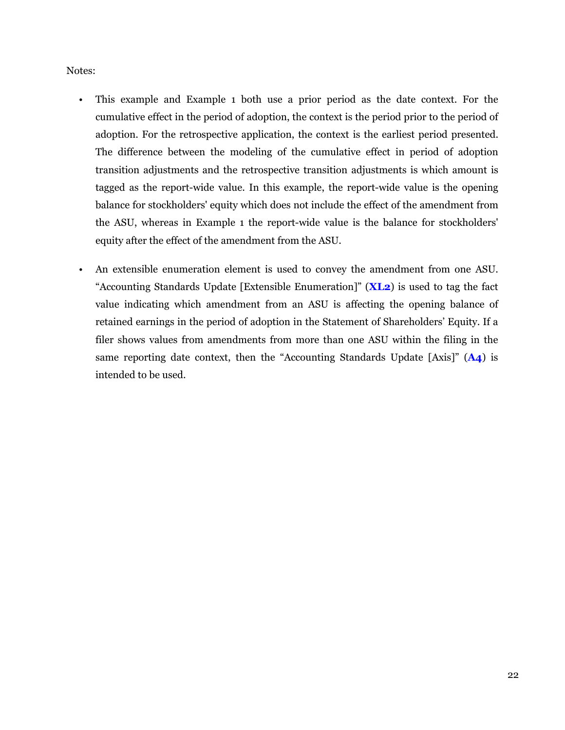#### Notes:

- This example and Example 1 both use a prior period as the date context. For the cumulative effect in the period of adoption, the context is the period prior to the period of adoption. For the retrospective application, the context is the earliest period presented. The difference between the modeling of the cumulative effect in period of adoption transition adjustments and the retrospective transition adjustments is which amount is tagged as the report-wide value. In this example, the report-wide value is the opening balance for stockholders' equity which does not include the effect of the amendment from the ASU, whereas in Example 1 the report-wide value is the balance for stockholders' equity after the effect of the amendment from the ASU.
- An extensible enumeration element is used to convey the amendment from one ASU. "Accounting Standards Update [Extensible Enumeration]" (**XL2**) is used to tag the fact value indicating which amendment from an ASU is affecting the opening balance of retained earnings in the period of adoption in the Statement of Shareholders' Equity. If a filer shows values from amendments from more than one ASU within the filing in the same reporting date context, then the "Accounting Standards Update [Axis]" (**A4**) is intended to be used.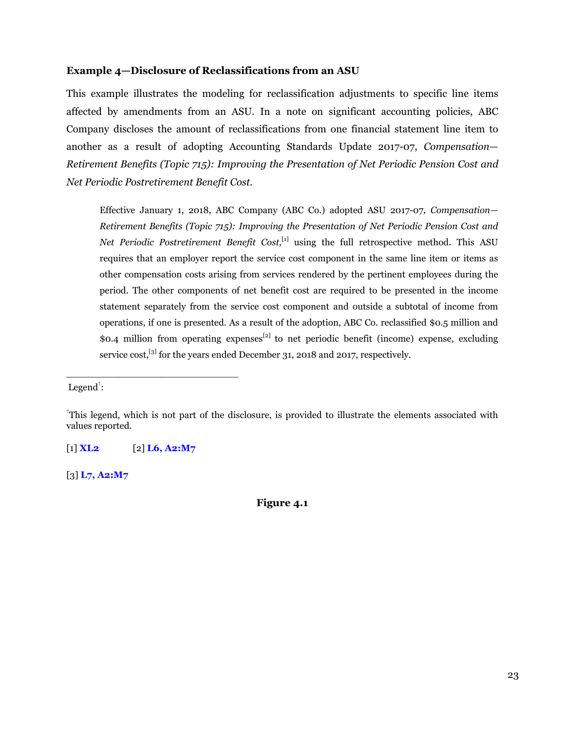#### <span id="page-24-0"></span>**Example 4—Disclosure of Reclassifications from an ASU**

This example illustrates the modeling for reclassification adjustments to specific line items affected by amendments from an ASU. In a note on significant accounting policies, ABC Company discloses the amount of reclassifications from one financial statement line item to another as a result of adopting Accounting Standards Update 2017-07, *Compensation— Retirement Benefits (Topic 715): Improving the Presentation of Net Periodic Pension Cost and Net Periodic Postretirement Benefit Cost*.

Effective January 1, 2018, ABC Company (ABC Co.) adopted ASU 2017-07*, Compensation— Retirement Benefits (Topic 715): Improving the Presentation of Net Periodic Pension Cost and Net Periodic Postretirement Benefit Cost*,<sup>[1]</sup> using the full retrospective method. This ASU requires that an employer report the service cost component in the same line item or items as other compensation costs arising from services rendered by the pertinent employees during the period. The other components of net benefit cost are required to be presented in the income statement separately from the service cost component and outside a subtotal of income from operations, if one is presented. As a result of the adoption, ABC Co. reclassified \$0.5 million and \$0.4 million from operating expenses<sup>[2]</sup> to net periodic benefit (income) expense, excluding service cost,<sup>[3]</sup> for the years ended December 31, 2018 and 2017, respectively.

Legend<sup>†</sup>:

[1] **XL2** [2] **L6, A2:M7**

\_\_\_\_\_\_\_\_\_\_\_\_\_\_\_\_\_\_\_\_\_\_\_\_\_\_\_\_\_

[3] **L7, A2:M7**

**Figure 4.1**

<sup>†</sup>This legend, which is not part of the disclosure, is provided to illustrate the elements associated with values reported.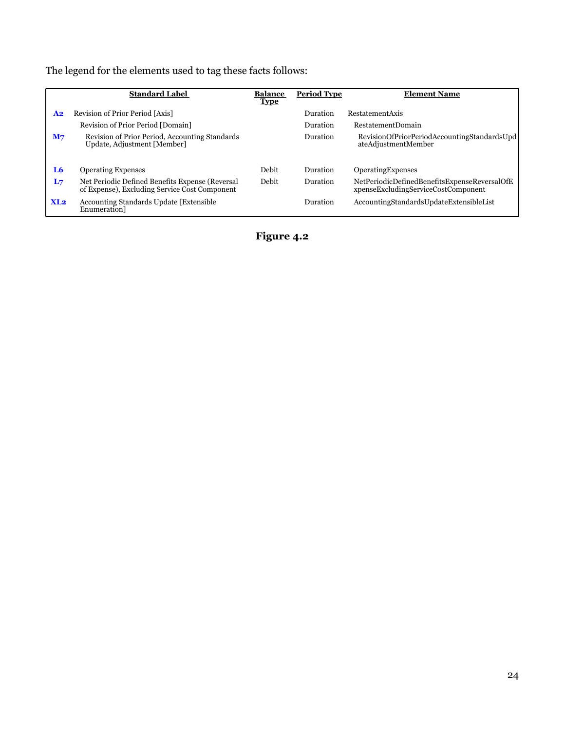The legend for the elements used to tag these facts follows:

|                | <b>Standard Label</b>                                                                            | <b>Balance</b><br><b>Type</b> | <b>Period Type</b> | <b>Element Name</b>                                                                 |
|----------------|--------------------------------------------------------------------------------------------------|-------------------------------|--------------------|-------------------------------------------------------------------------------------|
| A <sub>2</sub> | Revision of Prior Period [Axis]                                                                  |                               | Duration           | RestatementAxis                                                                     |
|                | Revision of Prior Period [Domain]                                                                |                               | Duration           | <b>RestatementDomain</b>                                                            |
| M <sub>7</sub> | Revision of Prior Period, Accounting Standards<br>Update, Adjustment [Member]                    |                               | Duration           | RevisionOfPriorPeriodAccountingStandardsUpd<br>ateAdjustmentMember                  |
| L6             | <b>Operating Expenses</b>                                                                        | Debit                         | Duration           | OperatingExpenses                                                                   |
| L <sub>7</sub> | Net Periodic Defined Benefits Expense (Reversal<br>of Expense), Excluding Service Cost Component | Debit                         | Duration           | NetPeriodicDefinedBenefitsExpenseReversalOfE<br>xpenseExcludingServiceCostComponent |
| XL2            | Accounting Standards Update [Extensible<br>Enumeration <sup>1</sup>                              |                               | Duration           | AccountingStandardsUpdateExtensibleList                                             |

**Figure 4.2**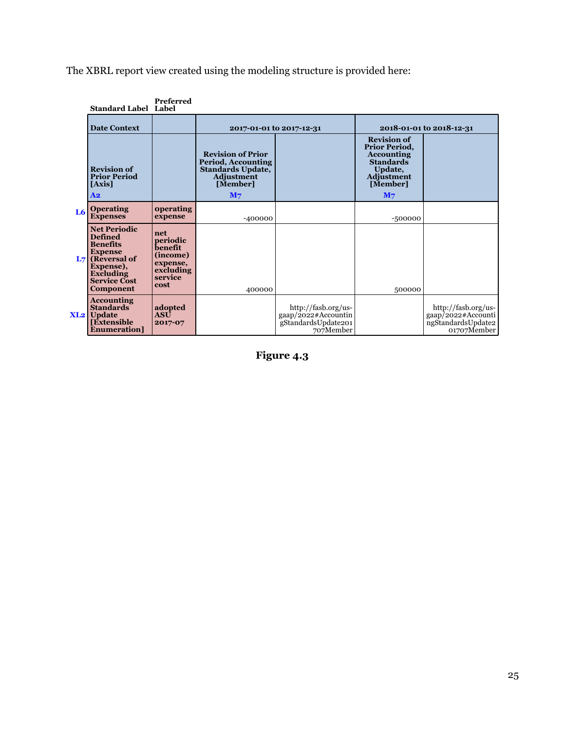The XBRL report view created using the modeling structure is provided here:

|    | <b>Standard Label Label</b>                                                                                                                                                 | Preferred                                                                          |                                                                                                                        |                                                                                        |                                                                                                                                     |                                                                                |
|----|-----------------------------------------------------------------------------------------------------------------------------------------------------------------------------|------------------------------------------------------------------------------------|------------------------------------------------------------------------------------------------------------------------|----------------------------------------------------------------------------------------|-------------------------------------------------------------------------------------------------------------------------------------|--------------------------------------------------------------------------------|
|    | <b>Date Context</b>                                                                                                                                                         |                                                                                    | 2017-01-01 to 2017-12-31                                                                                               |                                                                                        |                                                                                                                                     | 2018-01-01 to 2018-12-31                                                       |
|    | <b>Revision of</b><br><b>Prior Period</b><br>[Axis]<br>A <sub>2</sub>                                                                                                       |                                                                                    | <b>Revision of Prior</b><br>Period, Accounting<br>Standards Update,<br><b>Adjustment</b><br>[Member]<br>M <sub>7</sub> |                                                                                        | <b>Revision of</b><br>Prior Period,<br><b>Accounting</b><br><b>Standards</b><br>Update,<br>Adjustment<br>[Member]<br>M <sub>7</sub> |                                                                                |
| L6 | <b>Operating</b><br><b>Expenses</b>                                                                                                                                         | <b>operating</b><br>expense                                                        | $-400000$                                                                                                              |                                                                                        | $-500000$                                                                                                                           |                                                                                |
|    | <b>Net Periodic</b><br><b>Defined</b><br><b>Benefits</b><br><b>Expense</b><br>$L7$ (Reversal of<br>Expense),<br><b>Excluding</b><br><b>Service Cost</b><br><b>Component</b> | net<br>periodic<br>benefit<br>(income)<br>expense,<br>excluding<br>service<br>cost | 400000                                                                                                                 |                                                                                        | 500000                                                                                                                              |                                                                                |
|    | <b>Accounting</b><br><b>Standards</b><br><b>XL2</b> Update<br><b>Extensible</b><br><b>Enumeration</b>                                                                       | adopted<br>ASU<br>2017-07                                                          |                                                                                                                        | http://fasb.org/us-<br>$\frac{1}{2022}$ #Accountin<br>gStandardsUpdate201<br>707Member |                                                                                                                                     | http://fasb.org/us-<br>gaap/2022#Accounti<br>ngStandardsUpdate2<br>01707Member |

**Figure 4.3**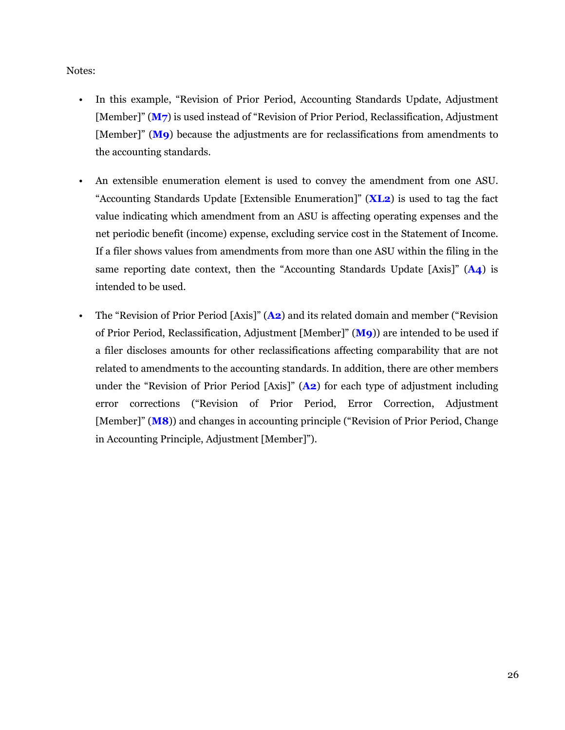Notes:

- In this example, "Revision of Prior Period, Accounting Standards Update, Adjustment [Member]" (**M7**) is used instead of "Revision of Prior Period, Reclassification, Adjustment [Member]" (**M9**) because the adjustments are for reclassifications from amendments to the accounting standards.
- An extensible enumeration element is used to convey the amendment from one ASU. "Accounting Standards Update [Extensible Enumeration]" (**XL2**) is used to tag the fact value indicating which amendment from an ASU is affecting operating expenses and the net periodic benefit (income) expense, excluding service cost in the Statement of Income. If a filer shows values from amendments from more than one ASU within the filing in the same reporting date context, then the "Accounting Standards Update [Axis]" (**A4**) is intended to be used.
- The "Revision of Prior Period [Axis]" (**A2**) and its related domain and member ("Revision of Prior Period, Reclassification, Adjustment [Member]" (**M9**)) are intended to be used if a filer discloses amounts for other reclassifications affecting comparability that are not related to amendments to the accounting standards. In addition, there are other members under the "Revision of Prior Period [Axis]" (**A2**) for each type of adjustment including error corrections ("Revision of Prior Period, Error Correction, Adjustment [Member]" (**M8**)) and changes in accounting principle ("Revision of Prior Period, Change in Accounting Principle, Adjustment [Member]").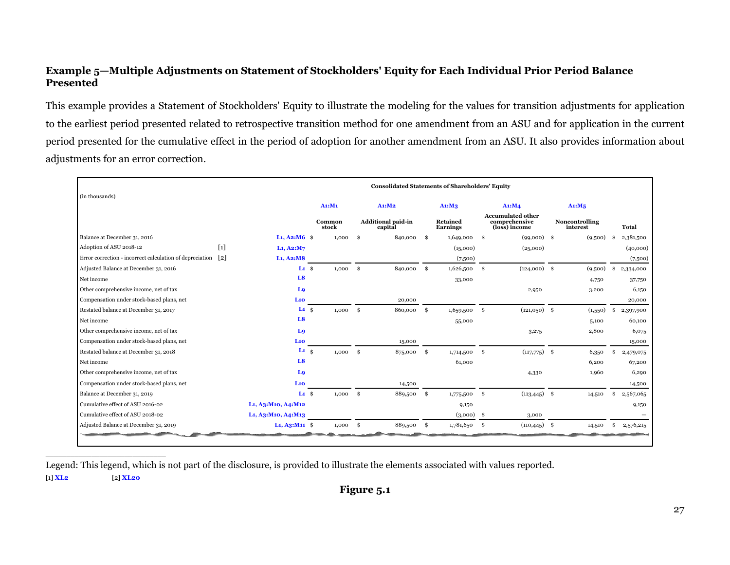#### <span id="page-28-0"></span>**Example 5—Multiple Adjustments on Statement of Stockholders' Equity for Each Individual Prior Period Balance Presented**

This example provides a Statement of Stockholders' Equity to illustrate the modeling for the values for transition adjustments for application to the earliest period presented related to retrospective transition method for one amendment from an ASU and for application in the current period presented for the cumulative effect in the period of adoption for another amendment from an ASU. It also provides information about adjustments for an error correction.

|                                                          |                   |                                                 |                 |               | <b>Consolidated Statements of Shareholders' Equity</b> |      |                      |              |                                                            |                            |     |              |
|----------------------------------------------------------|-------------------|-------------------------------------------------|-----------------|---------------|--------------------------------------------------------|------|----------------------|--------------|------------------------------------------------------------|----------------------------|-----|--------------|
| (in thousands)                                           |                   |                                                 | A1: M1          |               | A1: M2                                                 |      | A1: M3               |              | Ai: M4                                                     | Ai: M5                     |     |              |
|                                                          |                   |                                                 | Common<br>stock |               | <b>Additional paid-in</b><br>capital                   |      | Retained<br>Earnings |              | <b>Accumulated other</b><br>comprehensive<br>(loss) income | Noncontrolling<br>interest |     | <b>Total</b> |
| Balance at December 31, 2016                             |                   | $L_1, A_2: M_6$ \$                              | 1,000           | \$            | 840,000                                                | -S   | 1,649,000            | \$           | $(99,000)$ \$                                              | (9,500)                    | -\$ | 2,381,500    |
| Adoption of ASU 2018-12                                  | $\lceil 1 \rceil$ | L1, A2:M7                                       |                 |               |                                                        |      | (15,000)             |              | (25,000)                                                   |                            |     | (40,000)     |
| Error correction - incorrect calculation of depreciation | $\lceil 2 \rceil$ | L <sub>1</sub> , A <sub>2</sub> :M <sub>8</sub> |                 |               |                                                        |      | (7,500)              |              |                                                            |                            |     | (7,500)      |
| Adjusted Balance at December 31, 2016                    |                   | L1 S                                            | 1,000           | $\mathbf{s}$  | 840,000                                                | s.   | 1,626,500            | $\mathbf{s}$ | $(124,000)$ \$                                             | (9,500)                    |     | 2,334,000    |
| Net income                                               |                   | L <sub>8</sub>                                  |                 |               |                                                        |      | 33,000               |              |                                                            | 4,750                      |     | 37,750       |
| Other comprehensive income, net of tax                   |                   | Lo                                              |                 |               |                                                        |      |                      |              | 2,950                                                      | 3,200                      |     | 6,150        |
| Compensation under stock-based plans, net                |                   | L10                                             |                 |               | 20,000                                                 |      |                      |              |                                                            |                            |     | 20,000       |
| Restated balance at December 31, 2017                    |                   | $L1 \simeq$                                     | 1,000           | <b>S</b>      | 860,000                                                | s.   | 1,659,500            | - \$         | $(121,050)$ \$                                             | (1,550)                    |     | 2,397,900    |
| Net income                                               |                   | L <sub>8</sub>                                  |                 |               |                                                        |      | 55,000               |              |                                                            | 5,100                      |     | 60,100       |
| Other comprehensive income, net of tax                   |                   | L <sub>9</sub>                                  |                 |               |                                                        |      |                      |              | 3,275                                                      | 2,800                      |     | 6,075        |
| Compensation under stock-based plans, net                |                   | L <sub>10</sub>                                 |                 |               | 15,000                                                 |      |                      |              |                                                            |                            |     | 15,000       |
| Restated balance at December 31, 2018                    |                   | $\mathbf{L}$ 1 $\hat{\mathbf{s}}$               | 1,000           | <sup>\$</sup> | 875,000                                                | \$   | 1,714,500            | Ŝ.           | $(117,775)$ \$                                             | 6,350                      | £.  | 2,479,075    |
| Net income                                               |                   | L <sub>8</sub>                                  |                 |               |                                                        |      | 61,000               |              |                                                            | 6,200                      |     | 67,200       |
| Other comprehensive income, net of tax                   |                   | L <sub>9</sub>                                  |                 |               |                                                        |      |                      |              | 4,330                                                      | 1,960                      |     | 6,290        |
| Compensation under stock-based plans, net                |                   | L10                                             |                 |               | 14,500                                                 |      |                      |              |                                                            |                            |     | 14,500       |
| Balance at December 31, 2019                             |                   | L1 S                                            | 1,000           | $\mathbf{s}$  | 889,500                                                | - \$ | 1,775,500            | Ŝ.           | $(113, 445)$ \$                                            | 14,510                     | \$  | 2,567,065    |
| Cumulative effect of ASU 2016-02                         |                   | L1, A3:M10, A4:M12                              |                 |               |                                                        |      | 9,150                |              |                                                            |                            |     | 9,150        |
| Cumulative effect of ASU 2018-02                         |                   | L1, A3:M10, A4:M13                              |                 |               |                                                        |      | $(3,000)$ \$         |              | 3,000                                                      |                            |     |              |
| Adjusted Balance at December 31, 2019                    |                   | $L_1$ , A <sub>3</sub> :M <sub>11</sub> \$      | 1,000           | <sup>\$</sup> | 889,500                                                | - \$ | 1,781,650            | - \$         | $(110, 445)$ \$                                            | 14,510                     |     | 2,576,215    |
|                                                          |                   |                                                 |                 |               |                                                        |      |                      |              |                                                            |                            |     |              |

Legend: This legend, which is not part of the disclosure, is provided to illustrate the elements associated with values reported.

[1] **XL2** [2] **XL20**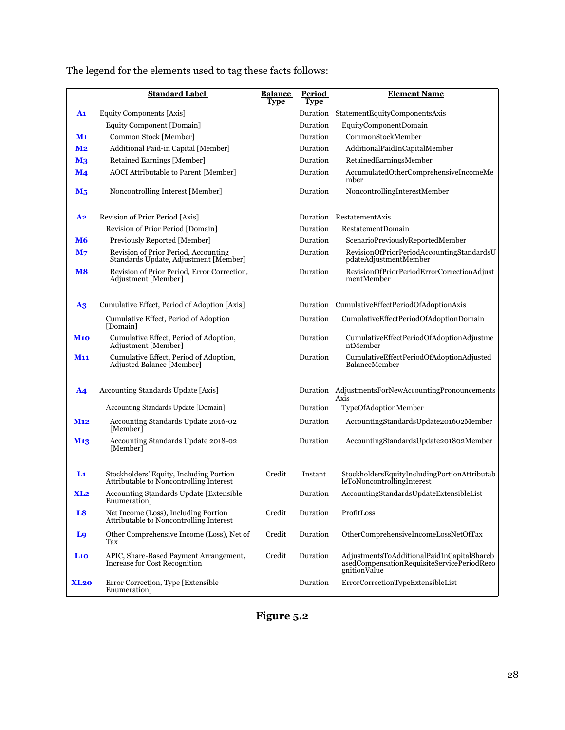|                           | <b>Standard Label</b>                                                              | <b>Balance</b><br><b>Type</b> | <b>Period</b><br><b>Type</b> | <b>Element Name</b>                                                                                      |
|---------------------------|------------------------------------------------------------------------------------|-------------------------------|------------------------------|----------------------------------------------------------------------------------------------------------|
| A1                        | Equity Components [Axis]                                                           |                               | Duration                     | StatementEquityComponentsAxis                                                                            |
|                           | Equity Component [Domain]                                                          |                               | Duration                     | EquityComponentDomain                                                                                    |
| $\mathbf{M_1}$            | Common Stock [Member]                                                              |                               | Duration                     | CommonStockMember                                                                                        |
| M <sub>2</sub>            | Additional Paid-in Capital [Member]                                                |                               | Duration                     | AdditionalPaidInCapitalMember                                                                            |
| $\mathbf{M}$ <sub>3</sub> | Retained Earnings [Member]                                                         |                               | Duration                     | RetainedEarningsMember                                                                                   |
| $\mathbf{M}$ 4            | <b>AOCI</b> Attributable to Parent [Member]                                        |                               | Duration                     | AccumulatedOtherComprehensiveIncomeMe<br>mber                                                            |
| $M_5$                     | Noncontrolling Interest [Member]                                                   |                               | Duration                     | NoncontrollingInterestMember                                                                             |
| <u>A2</u>                 | Revision of Prior Period [Axis]                                                    |                               |                              | Duration RestatementAxis                                                                                 |
|                           | Revision of Prior Period [Domain]                                                  |                               | Duration                     | RestatementDomain                                                                                        |
| <b>M6</b>                 | Previously Reported [Member]                                                       |                               | Duration                     | ScenarioPreviouslyReportedMember                                                                         |
| M <sub>7</sub>            | Revision of Prior Period, Accounting<br>Standards Update, Adjustment [Member]      |                               | Duration                     | RevisionOfPriorPeriodAccountingStandardsU<br>pdateAdjustmentMember                                       |
| $\bf{M8}$                 | Revision of Prior Period, Error Correction,<br>Adjustment [Member]                 |                               | Duration                     | RevisionOfPriorPeriodErrorCorrectionAdjust<br>mentMember                                                 |
| $\mathbf{A} \mathbf{3}$   | Cumulative Effect, Period of Adoption [Axis]                                       |                               |                              | Duration CumulativeEffectPeriodOfAdoptionAxis                                                            |
|                           | Cumulative Effect, Period of Adoption<br>[Domain]                                  |                               | Duration                     | CumulativeEffectPeriodOfAdoptionDomain                                                                   |
| <b>M10</b>                | Cumulative Effect, Period of Adoption,<br>Adjustment [Member]                      |                               | Duration                     | CumulativeEffectPeriodOfAdoptionAdjustme<br>ntMember                                                     |
| <b>M11</b>                | Cumulative Effect, Period of Adoption,<br>Adjusted Balance [Member]                |                               | Duration                     | CumulativeEffectPeriodOfAdoptionAdjusted<br>BalanceMember                                                |
| <b>A4</b>                 | Accounting Standards Update [Axis]                                                 |                               |                              | Duration AdjustmentsForNewAccountingPronouncements<br>Axis                                               |
|                           | Accounting Standards Update [Domain]                                               |                               | Duration                     | TypeOfAdoptionMember                                                                                     |
| M <sub>12</sub>           | Accounting Standards Update 2016-02<br>[Member]                                    |                               | Duration                     | AccountingStandardsUpdate201602Member                                                                    |
| M <sub>1</sub> 3          | Accounting Standards Update 2018-02<br>[Member]                                    |                               | Duration                     | AccountingStandardsUpdate201802Member                                                                    |
| L <sub>1</sub>            | Stockholders' Equity, Including Portion<br>Attributable to Noncontrolling Interest | Credit                        | Instant                      | $\label{thm:3} Stockholm of the following portion At tributab\\ leToNoncontrolling Interest$             |
| XL <sub>2</sub>           | Accounting Standards Update [Extensible<br>Enumeration]                            |                               | Duration                     | AccountingStandardsUpdateExtensibleList                                                                  |
| L8                        | Net Income (Loss), Including Portion<br>Attributable to Noncontrolling Interest    | Credit                        | Duration                     | ProfitLoss                                                                                               |
| L <sub>9</sub>            | Other Comprehensive Income (Loss), Net of<br>Tax                                   | Credit                        | Duration                     | OtherComprehensiveIncomeLossNetOfTax                                                                     |
| $La$                      | APIC, Share-Based Payment Arrangement,<br>Increase for Cost Recognition            | Credit                        | Duration                     | AdjustmentsToAdditionalPaidInCapitalShareb<br>asedCompensationRequisiteServicePeriodReco<br>gnitionValue |
| <b>XL20</b>               | Error Correction, Type [Extensible<br>Enumeration <sup>1</sup>                     |                               | Duration                     | ErrorCorrectionTypeExtensibleList                                                                        |

The legend for the elements used to tag these facts follows:

**Figure 5.2**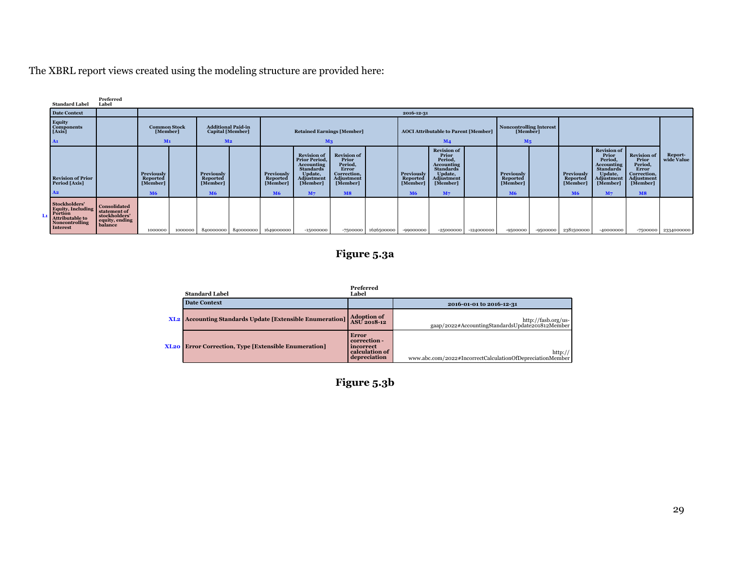The XBRL report views created using the modeling structure are provided here:

| <b>Standard Label</b>                                                                          | Preferred<br>Label                                                         |                                                 |                                                                                                                             |                                                      |                     |                                                      |                                                                                                                                                   |                                                                                                              |                                             |                                                      |                                                                                                                                        |                                            |                |            |                                                                    |                                                                                                                                        |                                                                                                                   |                         |
|------------------------------------------------------------------------------------------------|----------------------------------------------------------------------------|-------------------------------------------------|-----------------------------------------------------------------------------------------------------------------------------|------------------------------------------------------|---------------------|------------------------------------------------------|---------------------------------------------------------------------------------------------------------------------------------------------------|--------------------------------------------------------------------------------------------------------------|---------------------------------------------|------------------------------------------------------|----------------------------------------------------------------------------------------------------------------------------------------|--------------------------------------------|----------------|------------|--------------------------------------------------------------------|----------------------------------------------------------------------------------------------------------------------------------------|-------------------------------------------------------------------------------------------------------------------|-------------------------|
| <b>Date Context</b>                                                                            |                                                                            |                                                 |                                                                                                                             |                                                      |                     |                                                      |                                                                                                                                                   |                                                                                                              |                                             | 2016-12-31                                           |                                                                                                                                        |                                            |                |            |                                                                    |                                                                                                                                        |                                                                                                                   |                         |
| Equity<br>Components<br>[Axis]                                                                 |                                                                            |                                                 | <b>Additional Paid-in</b><br><b>Common Stock</b><br>[Member]<br><b>Capital</b> [Member]<br>M <sub>1</sub><br>M <sub>2</sub> |                                                      |                     | <b>Retained Earnings [Member]</b>                    |                                                                                                                                                   |                                                                                                              | <b>AOCI</b> Attributable to Parent [Member] |                                                      |                                                                                                                                        | <b>Noncontrolling Interest</b><br>[Member] |                |            |                                                                    |                                                                                                                                        |                                                                                                                   |                         |
| A1                                                                                             |                                                                            |                                                 |                                                                                                                             |                                                      |                     |                                                      | M <sub>3</sub>                                                                                                                                    |                                                                                                              |                                             |                                                      | M <sub>4</sub>                                                                                                                         |                                            | M <sub>5</sub> |            |                                                                    |                                                                                                                                        |                                                                                                                   |                         |
| <b>Revision of Prior</b><br>Period [Axis]<br>A <sub>2</sub>                                    |                                                                            | Previously<br>Reported<br>[Member]<br><b>M6</b> |                                                                                                                             | Previously<br>Reported<br>[Member]<br>M <sub>6</sub> |                     | Previously<br>Reported<br>[Member]<br>M <sub>6</sub> | <b>Revision of</b><br><b>Prior Period.</b><br><b>Accounting</b><br><b>Standards</b><br>Update,<br><b>Adjustment</b><br>[Member]<br>M <sub>7</sub> | <b>Revision of</b><br>Prior<br>Period.<br><b>Error</b><br>Correction,<br>Adjustment<br>[Member]<br><b>M8</b> |                                             | Previously<br>Reported<br>[Member]<br>M <sub>6</sub> | <b>Revision of</b><br>Prior<br>Period,<br><b>Accounting</b><br><b>Standards</b><br>Update,<br>Adjustment<br>[Member]<br>M <sub>7</sub> |                                            |                |            | <b>Previously</b><br><b>Reported</b><br>[Member]<br>M <sub>6</sub> | <b>Revision of</b><br>Prior<br>Period.<br><b>Accounting</b><br><b>Standards</b><br>Update,<br>Adjustment<br>[Member]<br>M <sub>7</sub> | <b>Revision</b> of<br>Prior<br>Period,<br><b>Error</b><br>Correction,<br>Adjustment<br>[Member]<br>M <sub>8</sub> | Report-<br>wide Value   |
| Stockholders'<br>Equity, Including<br>Portion<br>Attributable to<br>Noncontrolling<br>Interest | Consolidated<br>statement of<br>stockholders'<br>equity, ending<br>balance | 1000000                                         | 1000000                                                                                                                     |                                                      | 840000000 840000000 | 1649000000                                           | $-15000000$                                                                                                                                       | -7500000                                                                                                     | 1626500000                                  | -99000000                                            | -25000000                                                                                                                              | $-124000000$                               | -9500000       | $-9500000$ | 2381500000                                                         | -40000000                                                                                                                              |                                                                                                                   | $-7500000$   2334000000 |

# **Figure 5.3a**

|                  | <b>Standard Label</b>                                           | Preferred<br>Label                                                          |                                                                        |
|------------------|-----------------------------------------------------------------|-----------------------------------------------------------------------------|------------------------------------------------------------------------|
|                  | <b>Date Context</b>                                             |                                                                             | 2016-01-01 to 2016-12-31                                               |
|                  | <b>XL2</b> Accounting Standards Update [Extensible Enumeration] | <b>Adoption of</b><br><b>ASU</b> 2018-12                                    | http://fasb.org/us-<br>gaap/2022#AccountingStandardsUpdate201812Member |
| XL <sub>20</sub> | <b>Error Correction, Type [Extensible Enumeration]</b>          | <b>Error</b><br>correction -<br>incorrect<br>calculation of<br>depreciation | http://<br>www.abc.com/2022#IncorrectCalculationOfDepreciationMember   |

**Figure 5.3b**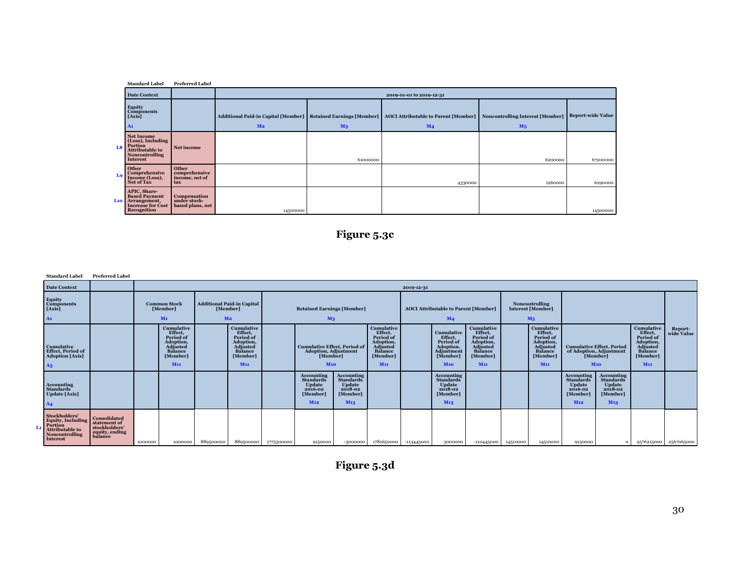|    | <b>Standard Label</b>                                                                                           | <b>Preferred Label</b>                           |                |                |                                                                                                                                                              |                |                   |
|----|-----------------------------------------------------------------------------------------------------------------|--------------------------------------------------|----------------|----------------|--------------------------------------------------------------------------------------------------------------------------------------------------------------|----------------|-------------------|
|    | Date Context                                                                                                    |                                                  |                |                | 2019-01-01 to 2019-12-31                                                                                                                                     |                |                   |
|    | <b>Equity</b><br><b>Components</b><br>[Axis]<br>A1                                                              |                                                  | M <sub>2</sub> | M <sub>3</sub> | Additional Paid-in Capital [Member]   Retained Earnings [Member]   AOCI Attributable to Parent [Member]   Noncontrolling Interest [Member]<br>M <sub>4</sub> | M <sub>5</sub> | Report-wide Value |
| L8 | Net Income<br>(Loss), Including<br>Portion<br><b>Attributable to</b><br><b>Noncontrolling</b><br>Interest       | Net income                                       |                | 61000000       |                                                                                                                                                              | 6200000        | 67200000          |
| Lo | Other<br><b>Comprehensive</b><br>Income (Loss),<br>Net of Tax                                                   | Other<br>comprehensive<br>income, net of<br>tax  |                |                | 4330000                                                                                                                                                      | 1960000        | 6290000           |
|    | APIC, Share-<br><b>Based Payment</b><br>L <sub>10</sub> Arrangement,<br><b>Increase for Cost</b><br>Recognition | Compensation<br>under stock-<br>based plans, net | 14500000       |                |                                                                                                                                                              |                | 14500000          |

# **Figure 5.3c**

**Standard Label Preferred Label**

|    | <b>Date Context</b>                                                                                          |                                                                            |         | 2019-12-31                                                                                              |                |                                                                                                         |            |                                                                                                      |                                                                                               |                                                                                                                     |            |                                                                                                  |                                                                                                  |          |                                                                                                         |                                                                                               |                                                                                                  |                                                                                                  |                       |
|----|--------------------------------------------------------------------------------------------------------------|----------------------------------------------------------------------------|---------|---------------------------------------------------------------------------------------------------------|----------------|---------------------------------------------------------------------------------------------------------|------------|------------------------------------------------------------------------------------------------------|-----------------------------------------------------------------------------------------------|---------------------------------------------------------------------------------------------------------------------|------------|--------------------------------------------------------------------------------------------------|--------------------------------------------------------------------------------------------------|----------|---------------------------------------------------------------------------------------------------------|-----------------------------------------------------------------------------------------------|--------------------------------------------------------------------------------------------------|--------------------------------------------------------------------------------------------------|-----------------------|
| A1 | Equity<br>Components<br>[Axis]                                                                               |                                                                            |         | <b>Common Stock</b><br>[Member]<br>$M1$                                                                 | M <sub>2</sub> | Additional Paid-in Capital<br>[Member]                                                                  |            | <b>Retained Earnings [Member]</b><br>M <sub>3</sub>                                                  |                                                                                               |                                                                                                                     |            | <b>AOCI</b> Attributable to Parent [Member]<br>M <sub>4</sub>                                    |                                                                                                  |          | Noncontrolling<br>Interest [Member]<br>$M_5$                                                            |                                                                                               |                                                                                                  |                                                                                                  |                       |
| A3 | <b>Cumulative</b><br><b>Effect</b> , Period of<br><b>Adoption</b> [Axis]                                     |                                                                            |         | <b>Cumulative</b><br>Effect,<br>Period of<br>Adoption,<br><b>Adjusted</b><br>Balance<br>[Member]<br>M11 |                | <b>Cumulative</b><br>Effect,<br>Period of<br>Adoption,<br><b>Adjusted</b><br>Balance<br>[Member]<br>M11 |            | <b>Cumulative Effect, Period of</b><br>Adoption, Adjustment<br>[Member]<br>M10                       |                                                                                               | <b>Cumulative</b><br>Effect,<br>Period of<br>Adoption,<br>Adjusted<br><b>Balance</b><br>[Member]<br>M <sub>11</sub> |            | Cumulative<br>Effect,<br>Period of<br>Adoption,<br>Adjustment<br>[Member]<br><b>M10</b>          | <b>Cumulative</b><br>Effect,<br>Period of<br>Adoption,<br>Adjusted<br>Balance<br>[Member]<br>M11 |          | <b>Cumulative</b><br>Effect,<br>Period of<br>Adoption,<br><b>Adjusted</b><br>Balance<br>[Member]<br>M11 |                                                                                               | <b>Cumulative Effect, Period</b><br>of Adoption, Adjustment<br>[Member]<br>M10                   | <b>Cumulative</b><br>Effect,<br>Period of<br>Adoption,<br>Adjusted<br>Balance<br>[Member]<br>M11 | Report-<br>wide Value |
| AA | <b>Accounting</b><br><b>Standards</b><br><b>Update</b> [Axis]                                                |                                                                            |         |                                                                                                         |                |                                                                                                         |            | <b>Accounting</b><br><b>Standards</b><br><b>Update</b><br>$2016 - 02$<br>[Member]<br>M <sub>12</sub> | <b>Accounting</b><br><b>Standards</b><br>Update<br>$2018 - 02$<br>[Member]<br>M <sub>13</sub> |                                                                                                                     |            | <b>Accounting</b><br><b>Standards</b><br><b>Update</b><br>2018-02<br>[Member]<br>M <sub>13</sub> |                                                                                                  |          |                                                                                                         | <b>Accounting</b><br><b>Standards</b><br>Update<br>$2016 - 02$<br>[Member]<br>M <sub>12</sub> | <b>Accounting</b><br><b>Standards</b><br><b>Update</b><br>2018-02<br>[Member]<br>M <sub>13</sub> |                                                                                                  |                       |
| Lı | Stockholders'<br>Equity, Including<br>Portion<br>Attributable to<br><b>Noncontrolling</b><br><b>Interest</b> | Consolidated<br>statement of<br>stockholders'<br>equity, ending<br>balance | 1000000 | 1000000                                                                                                 | 889500000      | 889500000                                                                                               | 1775500000 | 9150000                                                                                              | -3000000                                                                                      | 1781650000                                                                                                          | -113445000 | 3000000                                                                                          | -110445000                                                                                       | 14510000 | 14510000                                                                                                | 9150000                                                                                       | $\circ$                                                                                          |                                                                                                  | 2576215000 2567065000 |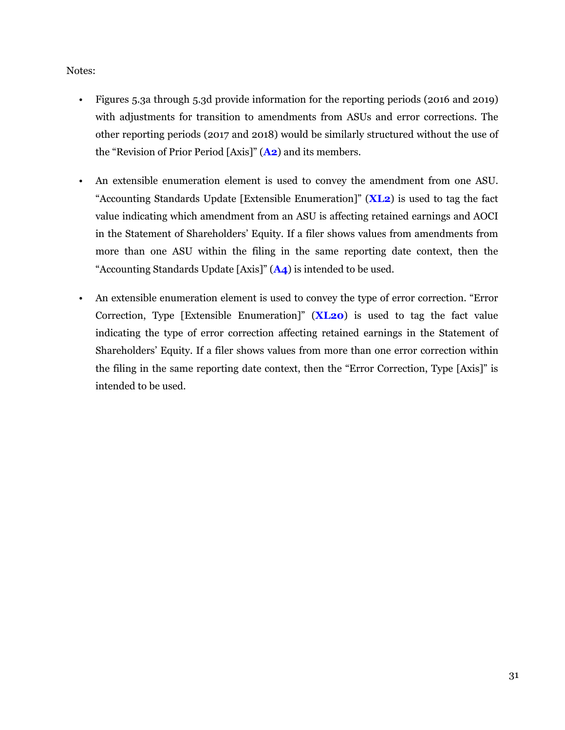#### Notes:

- Figures 5.3a through 5.3d provide information for the reporting periods (2016 and 2019) with adjustments for transition to amendments from ASUs and error corrections. The other reporting periods (2017 and 2018) would be similarly structured without the use of the "Revision of Prior Period [Axis]" (**A2**) and its members.
- An extensible enumeration element is used to convey the amendment from one ASU. "Accounting Standards Update [Extensible Enumeration]" (**XL2**) is used to tag the fact value indicating which amendment from an ASU is affecting retained earnings and AOCI in the Statement of Shareholders' Equity. If a filer shows values from amendments from more than one ASU within the filing in the same reporting date context, then the "Accounting Standards Update [Axis]" (**A4**) is intended to be used.
- An extensible enumeration element is used to convey the type of error correction. "Error Correction, Type [Extensible Enumeration]" (**XL20**) is used to tag the fact value indicating the type of error correction affecting retained earnings in the Statement of Shareholders' Equity. If a filer shows values from more than one error correction within the filing in the same reporting date context, then the "Error Correction, Type [Axis]" is intended to be used.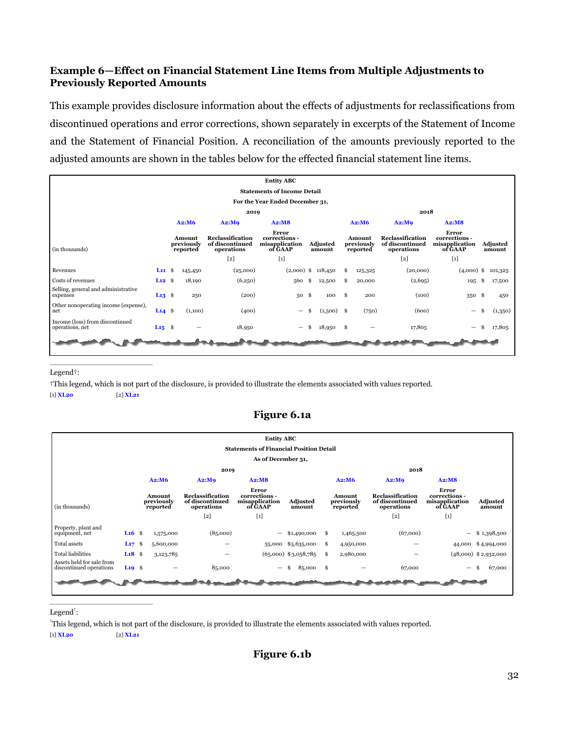#### <span id="page-33-0"></span>**Example 6—Effect on Financial Statement Line Items from Multiple Adjustments to Previously Reported Amounts**

This example provides disclosure information about the effects of adjustments for reclassifications from discontinued operations and error corrections, shown separately in excerpts of the Statement of Income and the Statement of Financial Position. A reconciliation of the amounts previously reported to the adjusted amounts are shown in the tables below for the effected financial statement line items.

|                                                    |                                    |  |                                  |                                                   | <b>Entity ABC</b>                                   |     |                      |      |                                  |                                                   |                                                     |    |                    |  |  |  |
|----------------------------------------------------|------------------------------------|--|----------------------------------|---------------------------------------------------|-----------------------------------------------------|-----|----------------------|------|----------------------------------|---------------------------------------------------|-----------------------------------------------------|----|--------------------|--|--|--|
|                                                    | <b>Statements of Income Detail</b> |  |                                  |                                                   |                                                     |     |                      |      |                                  |                                                   |                                                     |    |                    |  |  |  |
| For the Year Ended December 31,                    |                                    |  |                                  |                                                   |                                                     |     |                      |      |                                  |                                                   |                                                     |    |                    |  |  |  |
| 2019                                               |                                    |  |                                  |                                                   |                                                     |     |                      |      | 2018                             |                                                   |                                                     |    |                    |  |  |  |
|                                                    |                                    |  | A2: M6                           | A2:MQ                                             | A2:MB                                               |     |                      |      | A2:M6                            | A2:MQ                                             | A2:MB                                               |    |                    |  |  |  |
| (in thousands)                                     |                                    |  | Amount<br>previously<br>reported | Reclassification<br>of discontinued<br>operations | Error<br>corrections -<br>misapplication<br>of GAAP |     | Adjusted<br>amount   |      | Amount<br>previously<br>reported | Reclassification<br>of discontinued<br>operations | Error<br>corrections -<br>misapplication<br>of GAAP |    | Adjusted<br>amount |  |  |  |
|                                                    |                                    |  |                                  | $[2]$                                             | $[1]$                                               |     |                      |      |                                  | $[2]$                                             | $[1]$                                               |    |                    |  |  |  |
| Revenues                                           | $L11 \quad$                        |  | 145,450                          | (25,000)                                          |                                                     |     | $(2,000)$ \$ 118,450 | \$   | 125,325                          | (20,000)                                          | $(4,000)$ \$                                        |    | 101,325            |  |  |  |
| Costs of revenues                                  | $L12 \quad$                        |  | 18,190                           | (6,250)                                           | 560 \$                                              |     | 12,500               | Ŝ.   | 20,000                           | (2,695)                                           | 195                                                 | \$ | 17,500             |  |  |  |
| Selling, general and administrative<br>expenses    | $L13$ \$                           |  | 250                              | (200)                                             | 50S                                                 |     | 100                  | - \$ | 200                              | (100)                                             | 350 \$                                              |    | 450                |  |  |  |
| Other nonoperating income (expense),<br>net        | $L14$ \$                           |  | (1,100)                          | (400)                                             | $\qquad \qquad -$                                   | \$. | (1,500)              | - \$ | (750)                            | (600)                                             | $\qquad \qquad -$                                   | \$ | (1,350)            |  |  |  |
| Income (loss) from discontinued<br>operations, net | $L_{15}$ \$                        |  |                                  | 18,950                                            | —                                                   |     | 18,950               | -\$  |                                  | 17,805                                            | -                                                   |    | 17,805             |  |  |  |
|                                                    |                                    |  |                                  |                                                   |                                                     |     |                      |      |                                  |                                                   |                                                     |    |                    |  |  |  |

Legend†:

†This legend, which is not part of the disclosure, is provided to illustrate the elements associated with values reported.

[1] **XL20** [2] **XL21**

 $\overline{a_1}$  ,  $\overline{a_2}$  ,  $\overline{a_3}$  ,  $\overline{a_4}$  ,  $\overline{a_5}$  ,  $\overline{a_6}$  ,  $\overline{a_7}$  ,  $\overline{a_8}$  ,  $\overline{a_9}$  ,  $\overline{a_9}$  ,  $\overline{a_9}$  ,  $\overline{a_9}$  ,  $\overline{a_9}$  ,  $\overline{a_9}$  ,  $\overline{a_9}$  ,  $\overline{a_9}$  ,  $\overline{a_9}$  ,

#### **Figure 6.1a**

|                                                      |          |   |                                  |                                                   | <b>Entity ABC</b>                                   |                           |        |     |                                  |                                                   |                                                     |                           |
|------------------------------------------------------|----------|---|----------------------------------|---------------------------------------------------|-----------------------------------------------------|---------------------------|--------|-----|----------------------------------|---------------------------------------------------|-----------------------------------------------------|---------------------------|
|                                                      |          |   |                                  |                                                   | <b>Statements of Financial Position Detail</b>      |                           |        |     |                                  |                                                   |                                                     |                           |
|                                                      |          |   |                                  |                                                   | As of December 31,                                  |                           |        |     |                                  |                                                   |                                                     |                           |
|                                                      |          |   |                                  |                                                   |                                                     |                           |        |     |                                  | 2018                                              |                                                     |                           |
|                                                      |          |   |                                  | 2019                                              |                                                     |                           |        |     |                                  |                                                   |                                                     |                           |
|                                                      |          |   | A2: M6                           | A2:MQ                                             | A2:MB                                               |                           |        |     | A2: M6                           | A2:MQ                                             | A2:MB                                               |                           |
| (in thousands)                                       |          |   | Amount<br>previously<br>reported | Reclassification<br>of discontinued<br>operations | Error<br>corrections -<br>misapplication<br>of GAAP | <b>Adjusted</b><br>amount |        |     | Amount<br>previously<br>reported | Reclassification<br>of discontinued<br>operations | Error<br>corrections -<br>misapplication<br>of GAAP | <b>Adjusted</b><br>amount |
|                                                      |          |   |                                  | $[2]$                                             | $[1]$                                               |                           |        |     |                                  | $[2]$                                             | $[1]$                                               |                           |
| Property, plant and<br>equipment, net                | $L16$ \$ |   | 1,575,000                        | (85,000)                                          | —                                                   | \$1,490,000               |        | \$  | 1,465,500                        | (67,000)                                          | $\qquad \qquad -$                                   | \$1,398,500               |
| Total assets                                         | $L_{17}$ | ŝ | 5,600,000                        |                                                   | 35,000 \$5,635,000                                  |                           |        | Ŝ.  | 4,950,000                        |                                                   |                                                     | 44,000 \$4,994,000        |
| <b>Total liabilities</b>                             | $L18$ \$ |   | 3,123,785                        |                                                   | $(65,000)$ \$3,058,785                              |                           |        | Ŝ.  | 2,980,000                        |                                                   |                                                     | $(48,000)$ \$ 2,932,000   |
| Assets held for sale from<br>discontinued operations | $L19$ \$ |   |                                  | 85,000                                            |                                                     |                           | 85,000 | -\$ |                                  | 67,000                                            |                                                     | \$.<br>67,000             |
|                                                      |          |   |                                  |                                                   |                                                     |                           |        |     |                                  |                                                   |                                                     |                           |

Legend<sup>†</sup>:

†This legend, which is not part of the disclosure, is provided to illustrate the elements associated with values reported.

[1] **XL20** [2] **XL21**

 $\overline{a_1}$  ,  $\overline{a_2}$  ,  $\overline{a_3}$  ,  $\overline{a_4}$  ,  $\overline{a_5}$  ,  $\overline{a_6}$  ,  $\overline{a_7}$  ,  $\overline{a_8}$  ,  $\overline{a_9}$  ,  $\overline{a_9}$  ,  $\overline{a_9}$  ,  $\overline{a_9}$  ,  $\overline{a_9}$  ,  $\overline{a_9}$  ,  $\overline{a_9}$  ,  $\overline{a_9}$  ,  $\overline{a_9}$  ,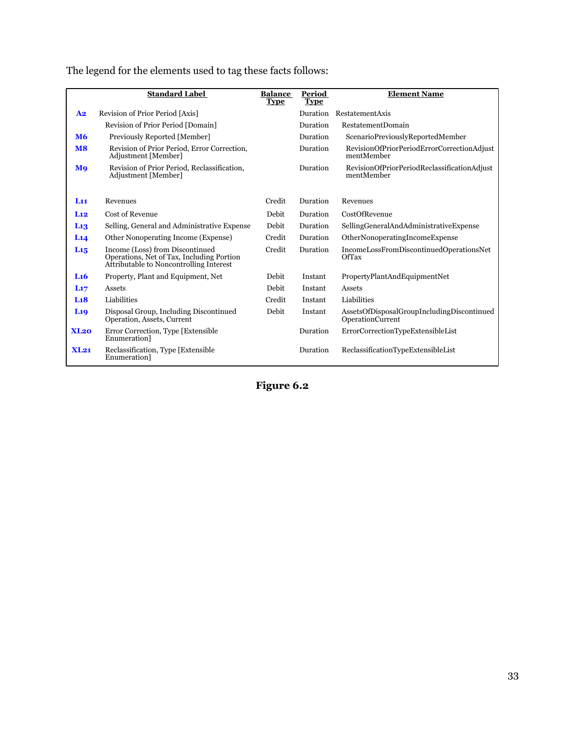|                                   | <b>Standard Label</b>                                                                                                   | <b>Balance</b><br><b>Type</b> | Period<br><b>Type</b> | <b>Element Name</b>                                            |
|-----------------------------------|-------------------------------------------------------------------------------------------------------------------------|-------------------------------|-----------------------|----------------------------------------------------------------|
| A <sub>2</sub>                    | Revision of Prior Period [Axis]                                                                                         |                               | Duration              | RestatementAxis                                                |
|                                   | Revision of Prior Period [Domain]                                                                                       |                               | Duration              | <b>RestatementDomain</b>                                       |
| <b>M6</b>                         | Previously Reported [Member]                                                                                            |                               | Duration              | ScenarioPreviouslyReportedMember                               |
| $\overline{\mathbf{M}}\mathbf{8}$ | Revision of Prior Period, Error Correction,<br>Adjustment [Member]                                                      |                               | Duration              | RevisionOfPriorPeriodErrorCorrectionAdjust<br>mentMember       |
| <b>M</b> <sub>9</sub>             | Revision of Prior Period, Reclassification,<br>Adjustment [Member]                                                      |                               | Duration              | RevisionOfPriorPeriodReclassificationAdjust<br>mentMember      |
| L11                               | Revenues                                                                                                                | Credit                        | Duration              | Revenues                                                       |
| L12                               | Cost of Revenue                                                                                                         | Debit                         | Duration              | CostOfRevenue                                                  |
| L <sub>13</sub>                   | Selling, General and Administrative Expense                                                                             | Debit                         | Duration              | SellingGeneralAndAdministrativeExpense                         |
| L14                               | Other Nonoperating Income (Expense)                                                                                     | Credit                        | Duration              | OtherNonoperatingIncomeExpense                                 |
| L <sub>15</sub>                   | Income (Loss) from Discontinued<br>Operations, Net of Tax, Including Portion<br>Attributable to Noncontrolling Interest | Credit                        | Duration              | IncomeLossFromDiscontinuedOperationsNet<br>OfTax               |
| L <sub>16</sub>                   | Property, Plant and Equipment, Net                                                                                      | <b>Debit</b>                  | Instant               | PropertyPlantAndEquipmentNet                                   |
| L17                               | Assets                                                                                                                  | Debit                         | Instant               | Assets                                                         |
| L <sub>1</sub> 8                  | Liabilities                                                                                                             | Credit                        | Instant               | Liabilities                                                    |
| L <sub>19</sub>                   | Disposal Group, Including Discontinued<br>Operation, Assets, Current                                                    | Debit                         | Instant               | AssetsOfDisposalGroupIncludingDiscontinued<br>OperationCurrent |
| XL20                              | Error Correction, Type [Extensible]<br>Enumeration]                                                                     |                               | Duration              | ErrorCorrectionTypeExtensibleList                              |
| XL21                              | Reclassification, Type [Extensible]<br>Enumeration]                                                                     |                               | Duration              | ReclassificationTypeExtensibleList                             |

The legend for the elements used to tag these facts follows:

**Figure 6.2**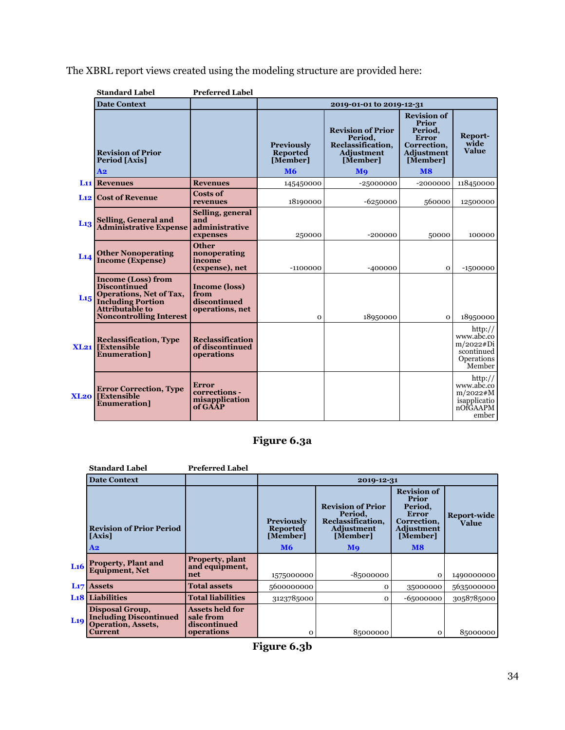The XBRL report views created using the modeling structure are provided here:

|                  | <b>Standard Label</b>                                                                                                                                               | <b>Preferred Label</b>                                          |                                                               |                                                                                                 |                                                                                                                                 |                                                                             |  |
|------------------|---------------------------------------------------------------------------------------------------------------------------------------------------------------------|-----------------------------------------------------------------|---------------------------------------------------------------|-------------------------------------------------------------------------------------------------|---------------------------------------------------------------------------------------------------------------------------------|-----------------------------------------------------------------------------|--|
|                  | <b>Date Context</b>                                                                                                                                                 |                                                                 |                                                               | 2019-01-01 to 2019-12-31                                                                        |                                                                                                                                 |                                                                             |  |
|                  | <b>Revision of Prior</b><br>Period [Axis]<br>A2                                                                                                                     |                                                                 | <b>Previously</b><br><b>Reported</b><br>[Member]<br><b>M6</b> | <b>Revision of Prior</b><br>Period,<br>Reclassification,<br><b>Adjustment</b><br>[Member]<br>Mo | <b>Revision of</b><br><b>Prior</b><br>Period,<br><b>Error</b><br>Correction.<br><b>Adjustment</b><br>[Member]<br>M <sub>8</sub> | Report-<br>wide<br><b>Value</b>                                             |  |
|                  | <b>L<sub>11</sub></b> Revenues                                                                                                                                      | <b>Revenues</b>                                                 | 145450000                                                     | $-25000000$                                                                                     | $-2000000$                                                                                                                      | 118450000                                                                   |  |
|                  | <b>L<sub>12</sub></b> Cost of Revenue                                                                                                                               | <b>Costs of</b><br>revenues                                     | 18190000                                                      | $-6250000$                                                                                      | 560000                                                                                                                          | 12500000                                                                    |  |
| L <sub>13</sub>  | <b>Selling, General and<br/>Administrative Expense</b>                                                                                                              | Selling, general<br>and<br>administrative<br>expenses           | 250000                                                        | $-200000$                                                                                       | 50000                                                                                                                           | 100000                                                                      |  |
| L14              | <b>Other Nonoperating</b><br><b>Income (Expense)</b>                                                                                                                | <b>Other</b><br>nonoperating<br>income<br>(expense), net        | $-1100000$                                                    | $-400000$                                                                                       | $\mathbf{O}$                                                                                                                    | $-1500000$                                                                  |  |
| L <sub>15</sub>  | <b>Income (Loss) from</b><br><b>Discontinued</b><br>Operations, Net of Tax,<br><b>Including Portion</b><br><b>Attributable to</b><br><b>Noncontrolling Interest</b> | <b>Income (loss)</b><br>from<br>discontinued<br>operations, net | $\Omega$                                                      | 18950000                                                                                        | $\mathbf{O}$                                                                                                                    | 18950000                                                                    |  |
|                  | <b>Reclassification, Type</b><br><b>XL21</b> [Extensible<br><b>Enumeration</b> ]                                                                                    | Reclassification<br>of discontinued<br>operations               |                                                               |                                                                                                 |                                                                                                                                 | http://<br>www.abc.co<br>m/2022#Di<br>scontinued<br>Operations<br>Member    |  |
| XL <sub>20</sub> | <b>Error Correction, Type</b><br><b>[Extensible</b><br><b>Enumeration</b> ]                                                                                         | Error<br>corrections -<br>misapplication<br>of GAAP             |                                                               |                                                                                                 |                                                                                                                                 | http://<br>www.abc.co<br>$m/2022 \# M$<br>isapplicatio<br>nOfGAAPM<br>ember |  |

**Figure 6.3a**

|                 | <b>Standard Label</b>                                                                                  | <b>Preferred Label</b>                                            |                                                  |                                                                                    |                                                                                                 |                      |  |
|-----------------|--------------------------------------------------------------------------------------------------------|-------------------------------------------------------------------|--------------------------------------------------|------------------------------------------------------------------------------------|-------------------------------------------------------------------------------------------------|----------------------|--|
|                 | <b>Date Context</b>                                                                                    |                                                                   |                                                  | 2019-12-31                                                                         |                                                                                                 |                      |  |
|                 | <b>Revision of Prior Period</b><br>[Axis]                                                              |                                                                   | <b>Previously</b><br><b>Reported</b><br>[Member] | <b>Revision of Prior</b><br>Period,<br>Reclassification,<br>Adjustment<br>[Member] | <b>Revision of</b><br>Prior<br>Period.<br><b>Error</b><br>Correction,<br>Adjustment<br>[Member] | Report-wide<br>Value |  |
|                 | A2                                                                                                     |                                                                   | <b>M6</b>                                        | <b>M</b> <sup>o</sup>                                                              | $\overline{\mathbf{M8}}$                                                                        |                      |  |
| Li6             | <b>Property, Plant and Equipment, Net</b>                                                              | Property, plant<br>and equipment,<br>net                          | 1575000000                                       | $-85000000$                                                                        | $\mathbf 0$                                                                                     | 1490000000           |  |
| L17             | <b>Assets</b>                                                                                          | <b>Total assets</b>                                               | 5600000000                                       | $\Omega$                                                                           | 35000000                                                                                        | 5635000000           |  |
|                 | <b>L<sub>18</sub></b> Liabilities                                                                      | <b>Total liabilities</b>                                          | 3123785000                                       | $\Omega$                                                                           | $-65000000$                                                                                     | 3058785000           |  |
| L <sub>19</sub> | <b>Disposal Group,</b><br><b>Including Discontinued</b><br><b>Operation, Assets,</b><br><b>Current</b> | <b>Assets held for</b><br>sale from<br>discontinued<br>operations | 0                                                | 85000000                                                                           | $\Omega$                                                                                        | 85000000             |  |

**Figure 6.3b**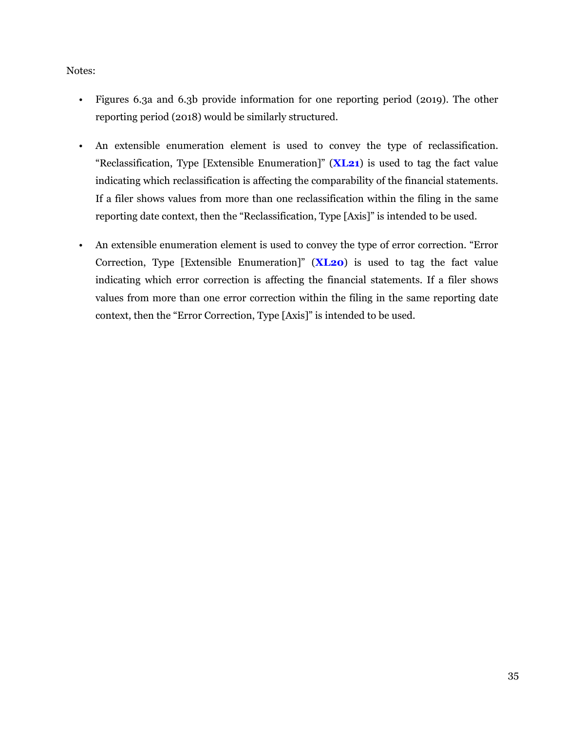#### Notes:

- Figures 6.3a and 6.3b provide information for one reporting period (2019). The other reporting period (2018) would be similarly structured.
- An extensible enumeration element is used to convey the type of reclassification. "Reclassification, Type [Extensible Enumeration]" (**XL21**) is used to tag the fact value indicating which reclassification is affecting the comparability of the financial statements. If a filer shows values from more than one reclassification within the filing in the same reporting date context, then the "Reclassification, Type [Axis]" is intended to be used.
- An extensible enumeration element is used to convey the type of error correction. "Error Correction, Type [Extensible Enumeration]" (**XL20**) is used to tag the fact value indicating which error correction is affecting the financial statements. If a filer shows values from more than one error correction within the filing in the same reporting date context, then the "Error Correction, Type [Axis]" is intended to be used.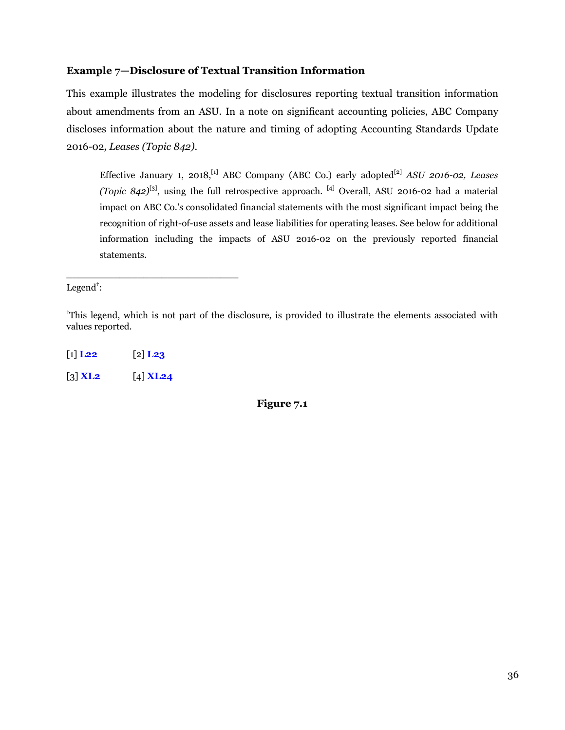#### <span id="page-37-0"></span>**Example 7—Disclosure of Textual Transition Information**

This example illustrates the modeling for disclosures reporting textual transition information about amendments from an ASU. In a note on significant accounting policies, ABC Company discloses information about the nature and timing of adopting Accounting Standards Update 2016-02*, Leases (Topic 842)*.

Effective January 1, 2018,<sup>[1]</sup> ABC Company (ABC Co.) early adopted<sup>[2]</sup> ASU 2016-02, Leases *(Topic 842)*[3], using the full retrospective approach. [4] Overall, ASU 2016-02 had a material impact on ABC Co.'s consolidated financial statements with the most significant impact being the recognition of right-of-use assets and lease liabilities for operating leases. See below for additional information including the impacts of ASU 2016-02 on the previously reported financial statements.

Legend $\ddagger$ :

†This legend, which is not part of the disclosure, is provided to illustrate the elements associated with values reported.

[1] **L22** [2] **L23** [3] **XL2** [4] **XL24**

\_\_\_\_\_\_\_\_\_\_\_\_\_\_\_\_\_\_\_\_\_\_\_\_\_\_\_\_\_

**Figure 7.1**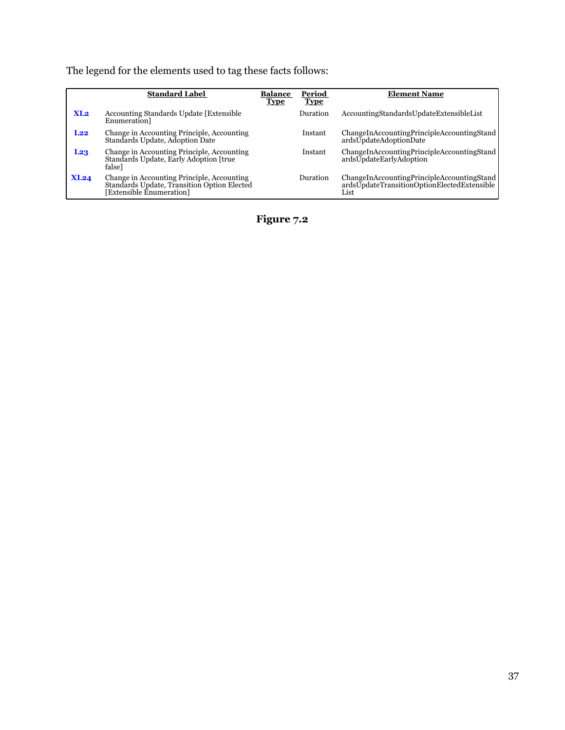The legend for the elements used to tag these facts follows:

|                  | <b>Standard Label</b>                                                                                                 | <b>Balance</b><br><b>Type</b> | Period<br><b>Type</b> | <b>Element Name</b>                                                                               |
|------------------|-----------------------------------------------------------------------------------------------------------------------|-------------------------------|-----------------------|---------------------------------------------------------------------------------------------------|
| X <sub>1.2</sub> | Accounting Standards Update [Extensible]<br>Enumeration <sub>1</sub>                                                  |                               | Duration              | AccountingStandardsUpdateExtensibleList                                                           |
| L22              | Change in Accounting Principle, Accounting<br>Standards Update, Adoption Date                                         |                               | Instant               | ChangeInAccountingPrincipleAccountingStand<br>ardsUpdateAdoptionDate                              |
| L23              | Change in Accounting Principle, Accounting<br>Standards Update, Early Adoption [true<br>falsel                        |                               | Instant               | ChangeInAccountingPrincipleAccountingStand<br>ardsUpdateEarlyAdoption                             |
| XL24             | Change in Accounting Principle, Accounting<br>Standards Update, Transition Option Elected<br>[Extensible Énumeration] |                               | Duration              | ChangeInAccountingPrincipleAccountingStand<br>ardsUpdateTransitionOptionElectedExtensible<br>List |

**Figure 7.2**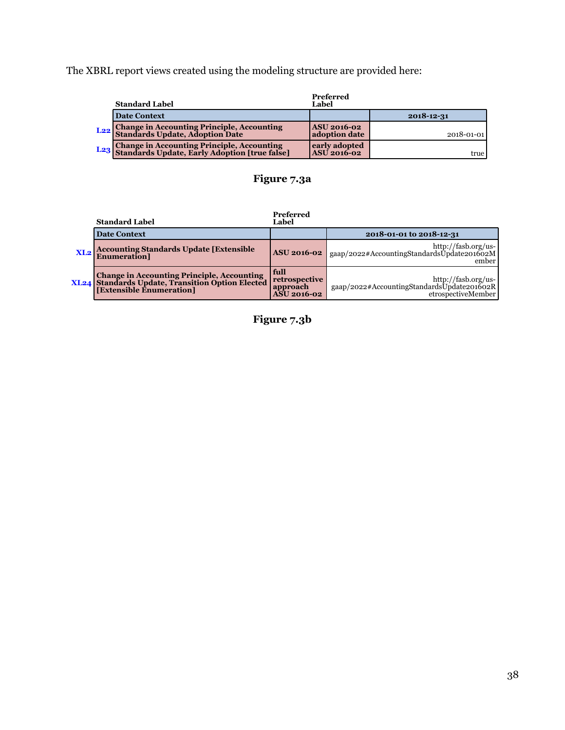The XBRL report views created using the modeling structure are provided here:

| <b>Standard Label</b>                                                                           | Preferred<br>Label                  |            |
|-------------------------------------------------------------------------------------------------|-------------------------------------|------------|
| <b>Date Context</b>                                                                             |                                     | 2018-12-31 |
| L <sub>22</sub> Change in Accounting Principle, Accounting<br>Standards Update, Adoption Date   | <b>ASU 2016-02</b><br>adoption date | 2018-01-01 |
| L23 Change in Accounting Principle, Accounting<br>Standards Update, Early Adoption [true false] | early adopted<br><b>ASU</b> 2016-02 | true       |

# **Figure 7.3a**

#### **Preferred**

|     | <b>Standard Label</b>                                                                                                                         | rreierrea<br>Label                                                 |                                                                                         |
|-----|-----------------------------------------------------------------------------------------------------------------------------------------------|--------------------------------------------------------------------|-----------------------------------------------------------------------------------------|
|     | <b>Date Context</b>                                                                                                                           |                                                                    | 2018-01-01 to 2018-12-31                                                                |
| XL2 | <b>Accounting Standards Update [Extensible]</b><br><b>Enumeration</b>                                                                         | <b>ASU 2016-02</b>                                                 | http://fasb.org/us-<br>gaap/2022#AccountingStandardsUpdate201602M<br>ember              |
|     | <b>XL24</b> Change in Accounting Principle, Accounting<br><b>XL24</b> Standards Update, Transition Option Elected<br>[Extensible Enumeration] | <b>full</b><br>  retrospective<br>  approach<br><b>ASU</b> 2016-02 | http://fasb.org/us-<br>gaap/2022#AccountingStandardsUpdate201602R<br>etrospectiveMember |

**Figure 7.3b**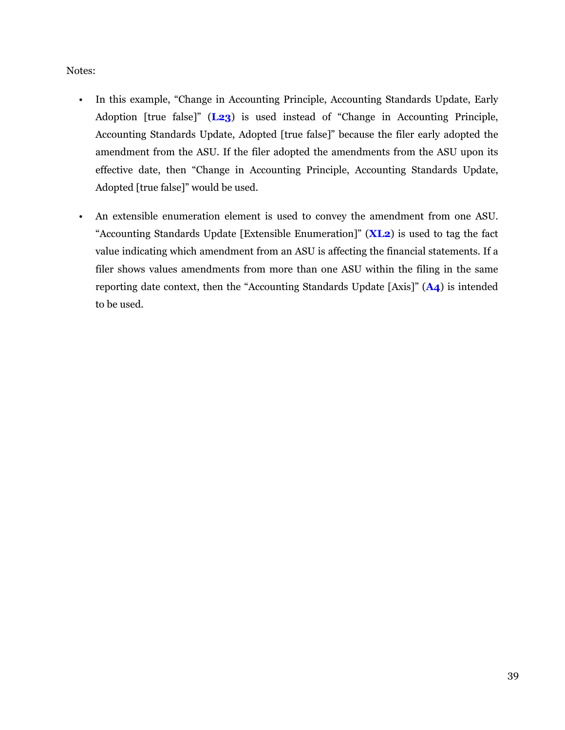#### Notes:

- In this example, "Change in Accounting Principle, Accounting Standards Update, Early Adoption [true false]" (**L23**) is used instead of "Change in Accounting Principle, Accounting Standards Update, Adopted [true false]" because the filer early adopted the amendment from the ASU. If the filer adopted the amendments from the ASU upon its effective date, then "Change in Accounting Principle, Accounting Standards Update, Adopted [true false]" would be used.
- An extensible enumeration element is used to convey the amendment from one ASU. "Accounting Standards Update [Extensible Enumeration]" (**XL2**) is used to tag the fact value indicating which amendment from an ASU is affecting the financial statements. If a filer shows values amendments from more than one ASU within the filing in the same reporting date context, then the "Accounting Standards Update [Axis]" (**A4**) is intended to be used.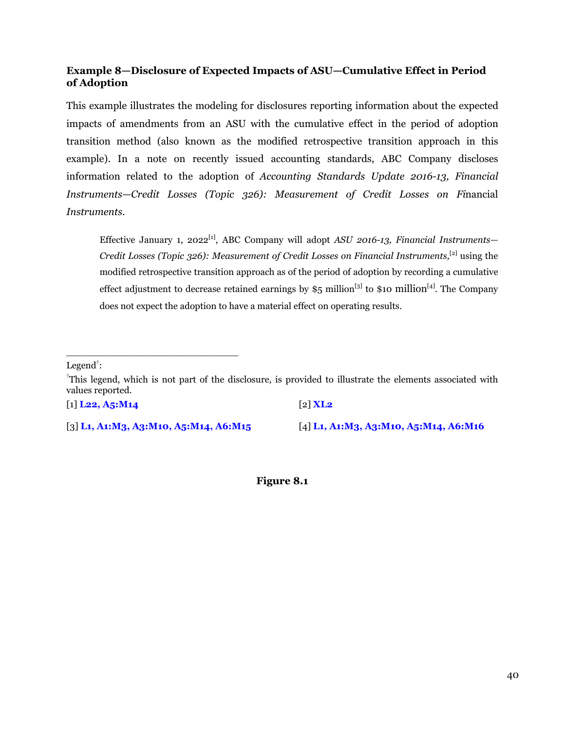#### <span id="page-41-0"></span>**Example 8—Disclosure of Expected Impacts of ASU—Cumulative Effect in Period of Adoption**

This example illustrates the modeling for disclosures reporting information about the expected impacts of amendments from an ASU with the cumulative effect in the period of adoption transition method (also known as the modified retrospective transition approach in this example). In a note on recently issued accounting standards, ABC Company discloses information related to the adoption of *Accounting Standards Update 2016-13, Financial Instruments—Credit Losses (Topic 326): Measurement of Credit Losses on Fi*nancial *Instruments.*

Effective January 1, 2022[1], ABC Company will adopt *ASU 2016-13, Financial Instruments— Credit Losses (Topic 326): Measurement of Credit Losses on Financial Instruments*,<sup>[2]</sup> using the modified retrospective transition approach as of the period of adoption by recording a cumulative effect adjustment to decrease retained earnings by  $\S$ 5 million<sup>[3]</sup> to \$10 million<sup>[4]</sup>. The Company does not expect the adoption to have a material effect on operating results.

Legend $^{\dagger}$ :

†This legend, which is not part of the disclosure, is provided to illustrate the elements associated with values reported.

[1] **L22, A5:M14** [2] **XL2**

\_\_\_\_\_\_\_\_\_\_\_\_\_\_\_\_\_\_\_\_\_\_\_\_\_\_\_\_\_

[3] **L1, A1:M3, A3:M10, A5:M14, A6:M15** [4] **L1, A1:M3, A3:M10, A5:M14, A6:M16**

**Figure 8.1**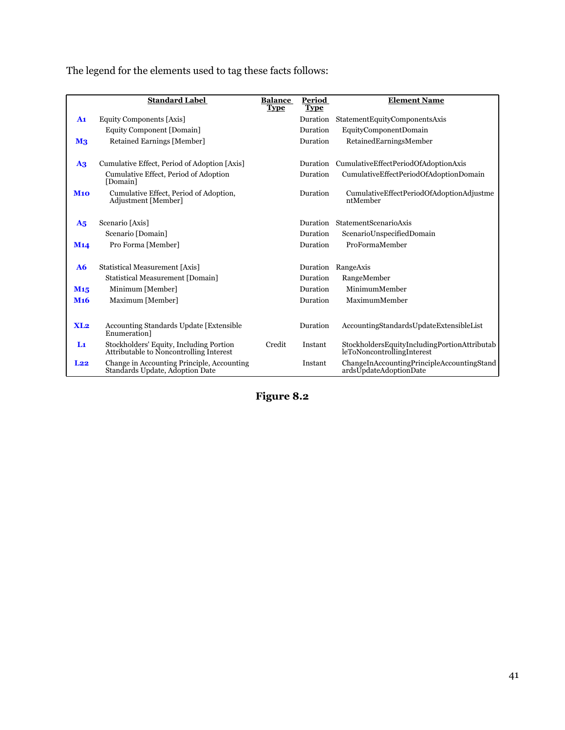|                 | <b>Standard Label</b>                                                              | <b>Balance</b><br><b>Type</b> | Period<br><b>Type</b> | <b>Element Name</b>                                                        |
|-----------------|------------------------------------------------------------------------------------|-------------------------------|-----------------------|----------------------------------------------------------------------------|
| A <sub>1</sub>  | Equity Components [Axis]                                                           |                               | Duration              | StatementEquityComponentsAxis                                              |
|                 | Equity Component [Domain]                                                          |                               | Duration              | EquityComponentDomain                                                      |
| M <sub>3</sub>  | Retained Earnings [Member]                                                         |                               | Duration              | RetainedEarningsMember                                                     |
|                 |                                                                                    |                               |                       |                                                                            |
| A3              | Cumulative Effect, Period of Adoption [Axis]                                       |                               | Duration              | CumulativeEffectPeriodOfAdoptionAxis                                       |
|                 | Cumulative Effect, Period of Adoption<br>[Domain]                                  |                               | Duration              | CumulativeEffectPeriodOfAdoptionDomain                                     |
| <b>M10</b>      | Cumulative Effect, Period of Adoption,<br>Adjustment [Member]                      |                               | Duration              | CumulativeEffectPeriodOfAdoptionAdjustme<br>ntMember                       |
|                 |                                                                                    |                               | Duration              | StatementScenarioAxis                                                      |
| A <sub>5</sub>  | Scenario [Axis]                                                                    |                               |                       |                                                                            |
|                 | Scenario [Domain]                                                                  |                               | Duration              | ScenarioUnspecifiedDomain                                                  |
| M <sub>14</sub> | Pro Forma [Member]                                                                 |                               | Duration              | ProFormaMember                                                             |
| A6              | Statistical Measurement [Axis]                                                     |                               | Duration              | RangeAxis                                                                  |
|                 | <b>Statistical Measurement [Domain]</b>                                            |                               | Duration              | RangeMember                                                                |
| M <sub>15</sub> | Minimum [Member]                                                                   |                               | Duration              | MinimumMember                                                              |
| M <sub>16</sub> | Maximum [Member]                                                                   |                               | Duration              | MaximumMember                                                              |
|                 |                                                                                    |                               |                       |                                                                            |
| XL2             | <b>Accounting Standards Update [Extensible</b> ]<br>Enumeration <sup>1</sup>       |                               | Duration              | AccountingStandardsUpdateExtensibleList                                    |
| Lı              | Stockholders' Equity, Including Portion<br>Attributable to Noncontrolling Interest | Credit                        | Instant               | StockholdersEquityIncludingPortionAttributab<br>leToNoncontrollingInterest |
| L22             | Change in Accounting Principle, Accounting<br>Standards Update, Adoption Date      |                               | Instant               | ChangeInAccountingPrincipleAccountingStand<br>ardsUpdateAdoptionDate       |

The legend for the elements used to tag these facts follows:

**Figure 8.2**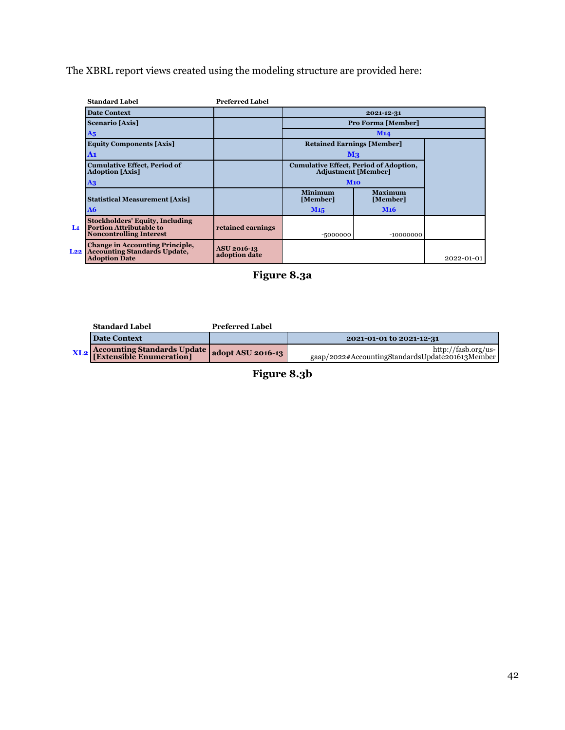The XBRL report views created using the modeling structure are provided here:

|          | <b>Standard Label</b>                                                                                      | <b>Preferred Label</b>              |                                                                             |                            |            |
|----------|------------------------------------------------------------------------------------------------------------|-------------------------------------|-----------------------------------------------------------------------------|----------------------------|------------|
|          | <b>Date Context</b>                                                                                        |                                     |                                                                             | 2021-12-31                 |            |
|          | <b>Scenario</b> [Axis]                                                                                     |                                     | <b>Pro Forma [Member]</b>                                                   |                            |            |
|          | A <sub>5</sub>                                                                                             |                                     |                                                                             | M14                        |            |
|          | <b>Equity Components [Axis]</b>                                                                            |                                     | <b>Retained Earnings [Member]</b>                                           |                            |            |
|          | A1                                                                                                         |                                     | M <sub>3</sub>                                                              |                            |            |
|          | <b>Cumulative Effect, Period of</b><br><b>Adoption</b> [Axis]                                              |                                     | <b>Cumulative Effect, Period of Adoption,</b><br><b>Adjustment [Member]</b> |                            |            |
|          | A3                                                                                                         |                                     | M10                                                                         |                            |            |
|          | <b>Statistical Measurement [Axis]</b>                                                                      |                                     | <b>Minimum</b><br>[Member]                                                  | <b>Maximum</b><br>[Member] |            |
|          | A6                                                                                                         |                                     | M <sub>15</sub>                                                             | <b>M<sub>16</sub></b>      |            |
| Lı       | <b>Stockholders' Equity, Including</b><br><b>Portion Attributable to</b><br><b>Noncontrolling Interest</b> | retained earnings                   | -5000000                                                                    | $-10000000$                |            |
| $L_{22}$ | <b>Change in Accounting Principle,</b><br><b>Accounting Standards Update,</b><br><b>Adoption Date</b>      | <b>ASU 2016-13</b><br>adoption date |                                                                             |                            | 2022-01-01 |



| <b>Standard Label</b>                                 | <b>Preferred Label</b> |                                                                        |
|-------------------------------------------------------|------------------------|------------------------------------------------------------------------|
| <b>Date Context</b>                                   |                        | 2021-01-01 to 2021-12-31                                               |
| XL2   Accounting Standards Update   adopt ASU 2016-13 |                        | http://fasb.org/us-<br>gaap/2022#AccountingStandardsUpdate201613Member |

**Figure 8.3b**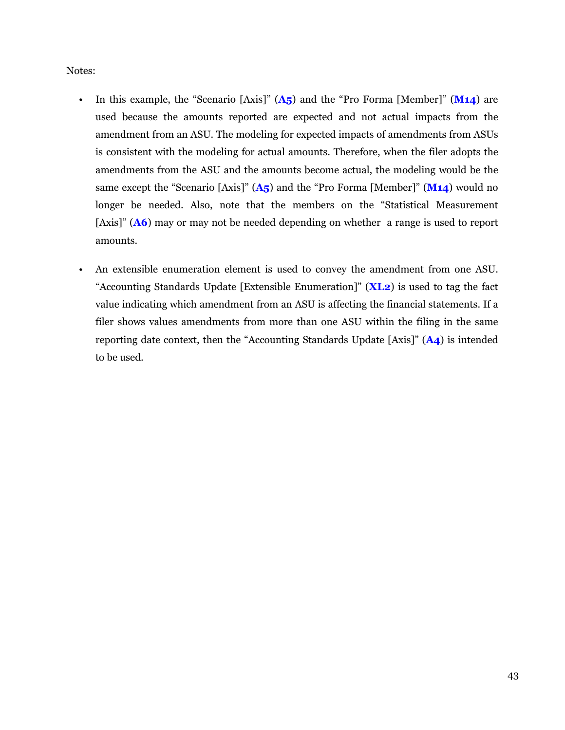#### Notes:

- In this example, the "Scenario [Axis]" (**A5**) and the "Pro Forma [Member]" (**M14**) are used because the amounts reported are expected and not actual impacts from the amendment from an ASU. The modeling for expected impacts of amendments from ASUs is consistent with the modeling for actual amounts. Therefore, when the filer adopts the amendments from the ASU and the amounts become actual, the modeling would be the same except the "Scenario [Axis]" (**A5**) and the "Pro Forma [Member]" (**M14**) would no longer be needed. Also, note that the members on the "Statistical Measurement [Axis]" (**A6**) may or may not be needed depending on whether a range is used to report amounts.
- An extensible enumeration element is used to convey the amendment from one ASU. "Accounting Standards Update [Extensible Enumeration]" (**XL2**) is used to tag the fact value indicating which amendment from an ASU is affecting the financial statements. If a filer shows values amendments from more than one ASU within the filing in the same reporting date context, then the "Accounting Standards Update [Axis]" (**A4**) is intended to be used.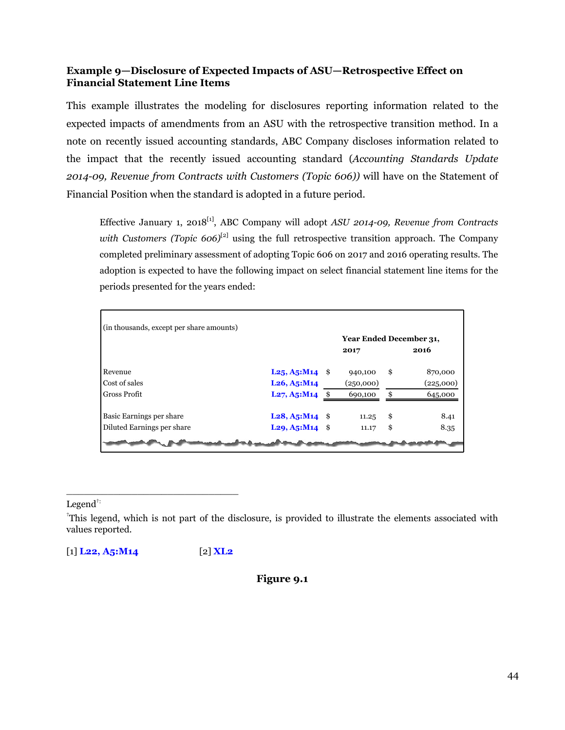#### <span id="page-45-0"></span>**Example 9—Disclosure of Expected Impacts of ASU—Retrospective Effect on Financial Statement Line Items**

This example illustrates the modeling for disclosures reporting information related to the expected impacts of amendments from an ASU with the retrospective transition method. In a note on recently issued accounting standards, ABC Company discloses information related to the impact that the recently issued accounting standard (*Accounting Standards Update 2014-09, Revenue from Contracts with Customers (Topic 606))* will have on the Statement of Financial Position when the standard is adopted in a future period.

Effective January 1, 2018[1], ABC Company will adopt *ASU 2014-09, Revenue from Contracts with Customers (Topic 606)*<sup>[2]</sup> using the full retrospective transition approach. The Company completed preliminary assessment of adopting Topic 606 on 2017 and 2016 operating results. The adoption is expected to have the following impact on select financial statement line items for the periods presented for the years ended:

| (in thousands, except per share amounts) |                                                         |                         |               |
|------------------------------------------|---------------------------------------------------------|-------------------------|---------------|
|                                          |                                                         | Year Ended December 31, |               |
|                                          |                                                         | 2017                    | 2016          |
| Revenue                                  | $L25, A5:M14$ \$                                        | 940,100                 | \$<br>870,000 |
| Cost of sales                            | $L26, A5:M14$                                           | (250,000)               | (225,000)     |
| Gross Profit                             | L27, A5: M14                                            | 690,100                 | \$<br>645,000 |
| Basic Earnings per share                 | $L28, A5: M14$ \$                                       | 11.25                   | \$<br>8.41    |
| Diluted Earnings per share               | $L_2$ <sup>9</sup> , A <sub>5</sub> :M <sub>14</sub> \$ | 11.17                   | \$<br>8.35    |
|                                          |                                                         |                         |               |

Legen $d^{\dagger}$ :

[1] **L22, A5:M14** [2] **XL2**

\_\_\_\_\_\_\_\_\_\_\_\_\_\_\_\_\_\_\_\_\_\_\_\_\_\_\_\_\_

**Figure 9.1**

<sup>†</sup>This legend, which is not part of the disclosure, is provided to illustrate the elements associated with values reported.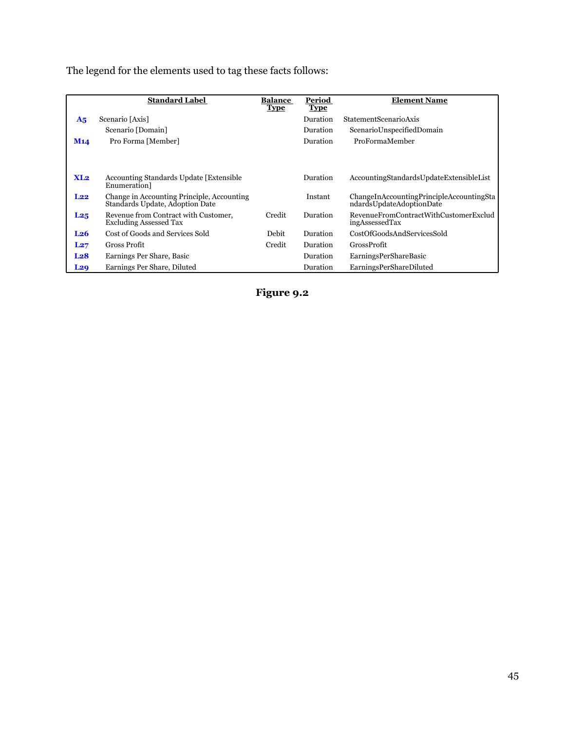The legend for the elements used to tag these facts follows:

|                 | <b>Standard Label</b>                                                         | <b>Balance</b><br><b>Type</b> | Period<br><b>Type</b> | <b>Element Name</b>                                                  |
|-----------------|-------------------------------------------------------------------------------|-------------------------------|-----------------------|----------------------------------------------------------------------|
| A <sub>5</sub>  | Scenario [Axis]                                                               |                               | Duration              | <b>StatementScenarioAxis</b>                                         |
|                 | Scenario [Domain]                                                             |                               | Duration              | ScenarioUnspecifiedDomain                                            |
| M <sub>14</sub> | Pro Forma [Member]                                                            |                               | Duration              | ProFormaMember                                                       |
| XL2             | <b>Accounting Standards Update [Extensible</b> ]<br>Enumeration]              |                               | Duration              | AccountingStandardsUpdateExtensibleList                              |
| $L_{22}$        | Change in Accounting Principle, Accounting<br>Standards Update, Adoption Date |                               | Instant               | ChangeInAccountingPrincipleAccountingSta<br>ndardsUpdateAdoptionDate |
| L <sub>25</sub> | Revenue from Contract with Customer,<br><b>Excluding Assessed Tax</b>         | Credit                        | Duration              | RevenueFromContractWithCustomerExclud<br>ingAssessedTax              |
| L <sub>26</sub> | Cost of Goods and Services Sold                                               | Debit                         | Duration              | CostOfGoodsAndServicesSold                                           |
| L27             | Gross Profit                                                                  | Credit                        | Duration              | <b>GrossProfit</b>                                                   |
| L <sub>28</sub> | Earnings Per Share, Basic                                                     |                               | Duration              | EarningsPerShareBasic                                                |
| L <sub>29</sub> | Earnings Per Share, Diluted                                                   |                               | Duration              | EarningsPerShareDiluted                                              |

**Figure 9.2**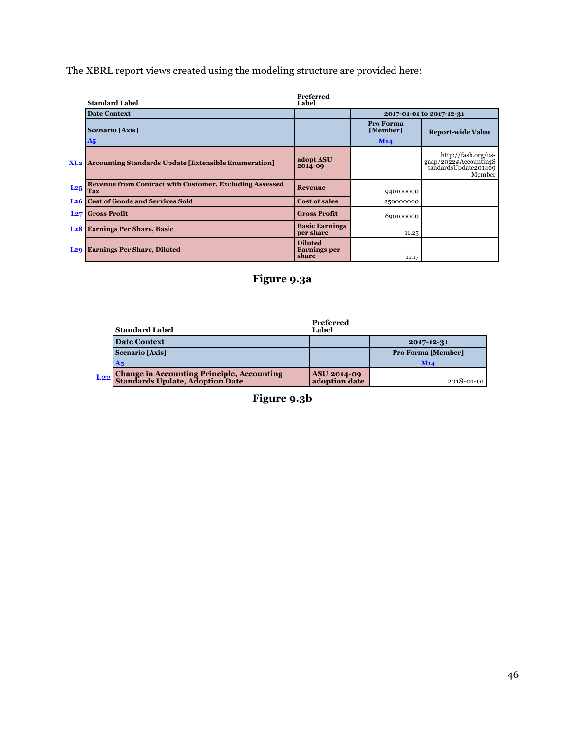The XBRL report views created using the modeling structure are provided here:

|                 | <b>Standard Label</b>                                                 | Preferred<br>Label                             |                              |                                                                                                              |
|-----------------|-----------------------------------------------------------------------|------------------------------------------------|------------------------------|--------------------------------------------------------------------------------------------------------------|
|                 | <b>Date Context</b>                                                   |                                                |                              | 2017-01-01 to 2017-12-31                                                                                     |
|                 | Scenario [Axis]<br>$\mathbf{A_5}$                                     |                                                | Pro Forma<br>[Member]<br>M14 | <b>Report-wide Value</b>                                                                                     |
|                 | <b>XL2</b> Accounting Standards Update [Extensible Enumeration]       | adopt ASU<br>2014-09                           |                              | http://fasb.org/us-<br>$\frac{m_1m_2m_3m_4m_5}{2022\# \text{Accountings}}$<br>tandardsUpdate201409<br>Member |
| L <sub>25</sub> | <b>Revenue from Contract with Customer, Excluding Assessed</b><br>Tax | <b>Revenue</b>                                 | 940100000                    |                                                                                                              |
| L <sub>26</sub> | <b>Cost of Goods and Services Sold</b>                                | <b>Cost of sales</b>                           | 250000000                    |                                                                                                              |
|                 | <b>L27</b> Gross Profit                                               | <b>Gross Profit</b>                            | 690100000                    |                                                                                                              |
|                 | <b>L28</b> Earnings Per Share, Basic                                  | <b>Basic Earnings</b><br>per share             | 11.25                        |                                                                                                              |
| L <sub>20</sub> | <b>Earnings Per Share, Diluted</b>                                    | <b>Diluted</b><br><b>Earnings</b> per<br>share | 11.17                        |                                                                                                              |



| <b>Standard Label</b>                                                                         | Preferred<br>Label                  |                           |
|-----------------------------------------------------------------------------------------------|-------------------------------------|---------------------------|
| <b>Date Context</b>                                                                           |                                     | 2017-12-31                |
| <b>Scenario [Axis]</b>                                                                        |                                     | <b>Pro Forma [Member]</b> |
| A <sub>5</sub>                                                                                |                                     | M14                       |
| L <sub>22</sub> Change in Accounting Principle, Accounting<br>Standards Update, Adoption Date | <b>ASU 2014-09</b><br>adoption date | 2018-01-01                |

**Figure 9.3b**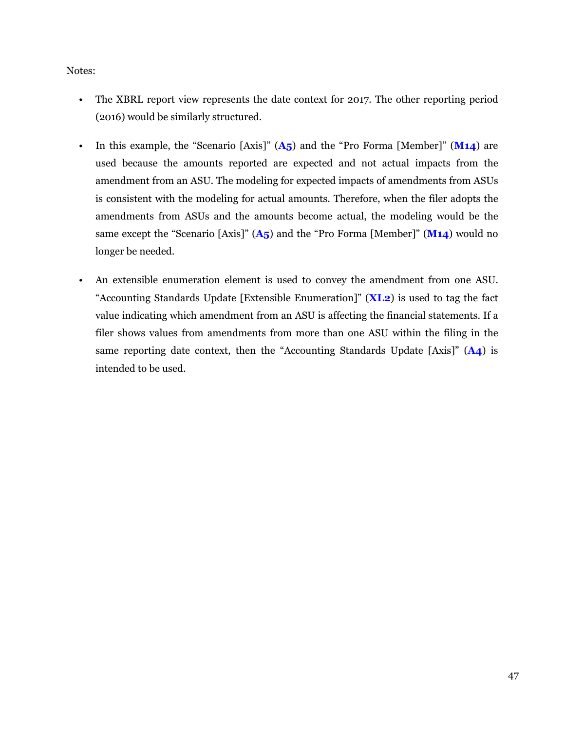#### Notes:

- The XBRL report view represents the date context for 2017. The other reporting period (2016) would be similarly structured.
- In this example, the "Scenario [Axis]" (A<sub>5</sub>) and the "Pro Forma [Member]" (M14) are used because the amounts reported are expected and not actual impacts from the amendment from an ASU. The modeling for expected impacts of amendments from ASUs is consistent with the modeling for actual amounts. Therefore, when the filer adopts the amendments from ASUs and the amounts become actual, the modeling would be the same except the "Scenario [Axis]" (**A5**) and the "Pro Forma [Member]" (**M14**) would no longer be needed.
- An extensible enumeration element is used to convey the amendment from one ASU. "Accounting Standards Update [Extensible Enumeration]" (**XL2**) is used to tag the fact value indicating which amendment from an ASU is affecting the financial statements. If a filer shows values from amendments from more than one ASU within the filing in the same reporting date context, then the "Accounting Standards Update [Axis]" (**A4**) is intended to be used.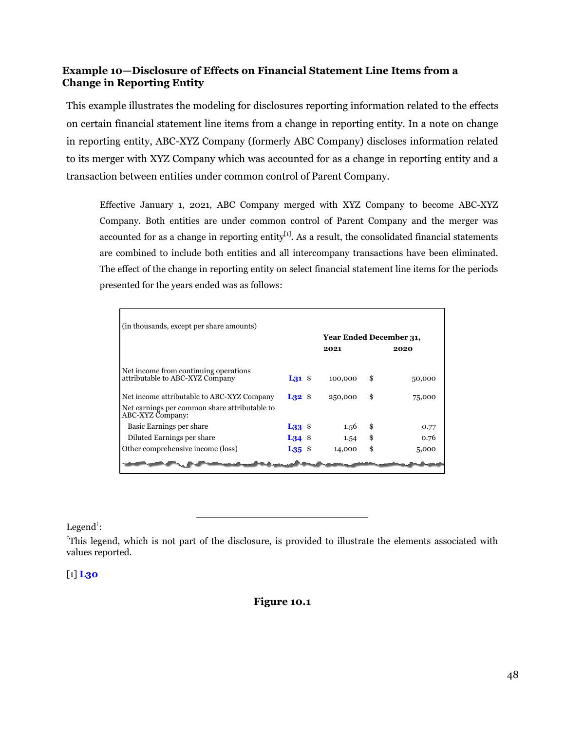#### <span id="page-49-0"></span>**Example 10—Disclosure of Effects on Financial Statement Line Items from a Change in Reporting Entity**

This example illustrates the modeling for disclosures reporting information related to the effects on certain financial statement line items from a change in reporting entity. In a note on change in reporting entity, ABC-XYZ Company (formerly ABC Company) discloses information related to its merger with XYZ Company which was accounted for as a change in reporting entity and a transaction between entities under common control of Parent Company.

Effective January 1, 2021, ABC Company merged with XYZ Company to become ABC-XYZ Company. Both entities are under common control of Parent Company and the merger was accounted for as a change in reporting entity<sup>[1]</sup>. As a result, the consolidated financial statements are combined to include both entities and all intercompany transactions have been eliminated. The effect of the change in reporting entity on select financial statement line items for the periods presented for the years ended was as follows:

|                                                                                                                 | (in thousands, except per share amounts) |  | Year Ended December 31, |    |        |
|-----------------------------------------------------------------------------------------------------------------|------------------------------------------|--|-------------------------|----|--------|
|                                                                                                                 |                                          |  | 2021                    |    | 2020   |
| Net income from continuing operations<br>attributable to ABC-XYZ Company                                        | $L_{31}$ \$                              |  | 100,000                 | \$ | 50,000 |
| Net income attributable to ABC-XYZ Company<br>Net earnings per common share attributable to<br>ABC-XYZ Company: | $L32$ \$                                 |  | 250,000                 | \$ | 75,000 |
| Basic Earnings per share                                                                                        | $L33$ \$                                 |  | 1.56                    | \$ | 0.77   |
| Diluted Earnings per share                                                                                      | $L34$ \$                                 |  | 1.54                    | \$ | 0.76   |
| Other comprehensive income (loss)                                                                               | $L35$ \$                                 |  | 14,000                  | \$ | 5,000  |

Legend<sup>†</sup>:

†This legend, which is not part of the disclosure, is provided to illustrate the elements associated with values reported.

\_\_\_\_\_\_\_\_\_\_\_\_\_\_\_\_\_\_\_\_\_\_\_\_\_\_\_\_\_

#### [1] **L30**

#### **Figure 10.1**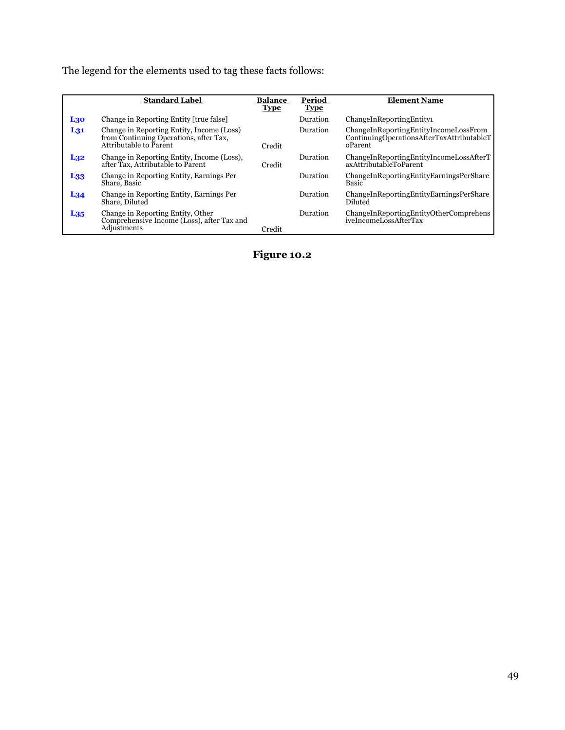The legend for the elements used to tag these facts follows:

|                 | <b>Standard Label</b>                                                                                         | <b>Balance</b> | Period      | <b>Element Name</b>                                                                           |
|-----------------|---------------------------------------------------------------------------------------------------------------|----------------|-------------|-----------------------------------------------------------------------------------------------|
|                 |                                                                                                               | <b>Type</b>    | <b>Type</b> |                                                                                               |
| L30             | Change in Reporting Entity [true false]                                                                       |                | Duration    | ChangeInReportingEntity1                                                                      |
| $L_{31}$        | Change in Reporting Entity, Income (Loss)<br>from Continuing Operations, after Tax,<br>Attributable to Parent | Credit         | Duration    | ChangeInReportingEntityIncomeLossFrom<br>ContinuingOperationsAfterTaxAttributableT<br>oParent |
| L <sub>32</sub> | Change in Reporting Entity, Income (Loss),<br>after Tax, Attributable to Parent                               | Credit         | Duration    | ChangeInReportingEntityIncomeLossAfterT<br>axAttributableToParent                             |
| L <sub>33</sub> | Change in Reporting Entity, Earnings Per<br>Share, Basic                                                      |                | Duration    | ChangeInReportingEntityEarningsPerShare<br>Basic                                              |
| L <sub>34</sub> | Change in Reporting Entity, Earnings Per<br>Share, Diluted                                                    |                | Duration    | ChangeInReportingEntityEarningsPerShare<br>Diluted                                            |
| $L_{35}$        | Change in Reporting Entity, Other<br>Comprehensive Income (Loss), after Tax and<br>Adjustments                | Credit         | Duration    | ChangeInReportingEntityOtherComprehens<br>iveIncomeLossAfterTax                               |

**Figure 10.2**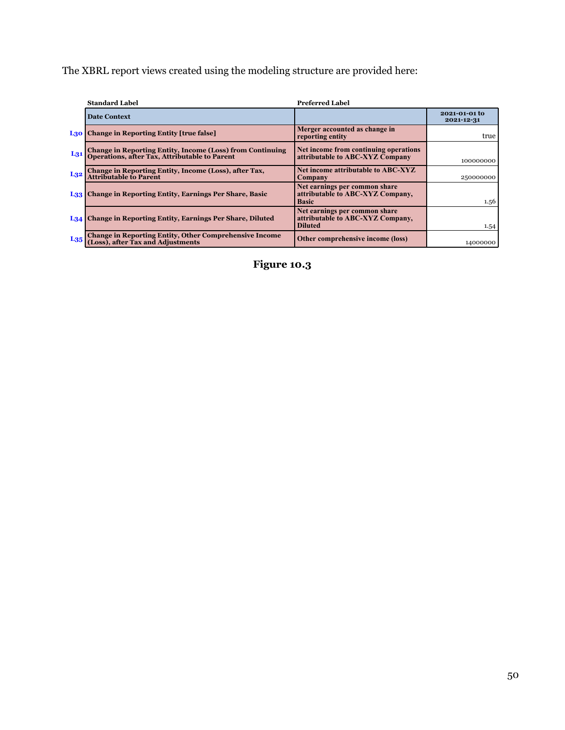The XBRL report views created using the modeling structure are provided here:

|                 | <b>Standard Label</b>                                                                                          | <b>Preferred Label</b>                                                              |                             |
|-----------------|----------------------------------------------------------------------------------------------------------------|-------------------------------------------------------------------------------------|-----------------------------|
|                 | <b>Date Context</b>                                                                                            |                                                                                     | 2021-01-01 to<br>2021-12-31 |
|                 | L <sub>30</sub> Change in Reporting Entity [true false]                                                        | Merger accounted as change in<br>reporting entity                                   | true                        |
| $L_{31}$        | <b>Change in Reporting Entity, Income (Loss) from Continuing Operations, after Tax, Attributable to Parent</b> | Net income from continuing operations<br>attributable to ABC-XYZ Company            | 100000000                   |
| L <sub>32</sub> | Change in Reporting Entity, Income (Loss), after Tax,<br>Attributable to Parent                                | Net income attributable to ABC-XYZ<br><b>Company</b>                                | 250000000                   |
|                 | L <sub>33</sub> Change in Reporting Entity, Earnings Per Share, Basic                                          | Net earnings per common share<br>attributable to ABC-XYZ Company,<br><b>Basic</b>   | 1.56                        |
|                 | L34 Change in Reporting Entity, Earnings Per Share, Diluted                                                    | Net earnings per common share<br>attributable to ABC-XYZ Company,<br><b>Diluted</b> | 1.54                        |
| $L_{35}$        | <b>Change in Reporting Entity, Other Comprehensive Income (Loss), after Tax and Adjustments</b>                | Other comprehensive income (loss)                                                   | 14000000                    |

**Figure 10.3**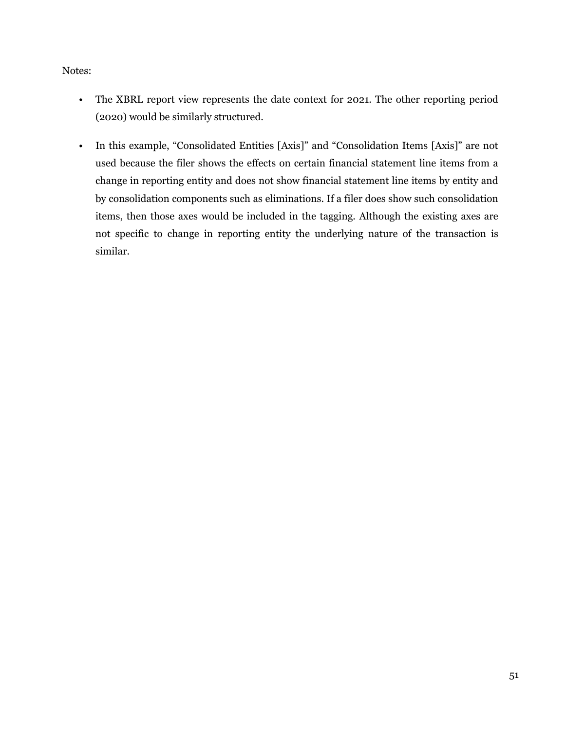Notes:

- The XBRL report view represents the date context for 2021. The other reporting period (2020) would be similarly structured.
- In this example, "Consolidated Entities [Axis]" and "Consolidation Items [Axis]" are not used because the filer shows the effects on certain financial statement line items from a change in reporting entity and does not show financial statement line items by entity and by consolidation components such as eliminations. If a filer does show such consolidation items, then those axes would be included in the tagging. Although the existing axes are not specific to change in reporting entity the underlying nature of the transaction is similar.